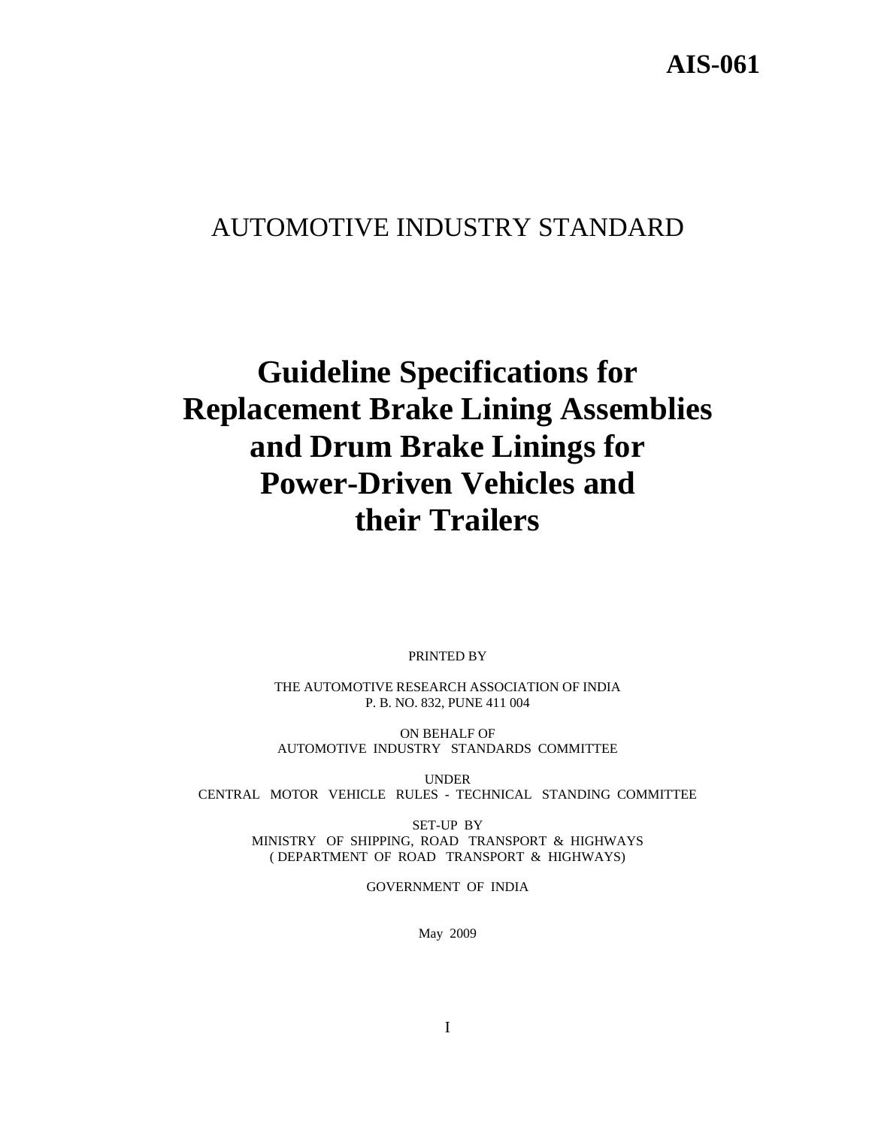# **AIS-061**

# AUTOMOTIVE INDUSTRY STANDARD

# **Guideline Specifications for Replacement Brake Lining Assemblies and Drum Brake Linings for Power-Driven Vehicles and their Trailers**

PRINTED BY

THE AUTOMOTIVE RESEARCH ASSOCIATION OF INDIA P. B. NO. 832, PUNE 411 004

ON BEHALF OF AUTOMOTIVE INDUSTRY STANDARDS COMMITTEE

UNDER CENTRAL MOTOR VEHICLE RULES - TECHNICAL STANDING COMMITTEE

> SET-UP BY MINISTRY OF SHIPPING, ROAD TRANSPORT & HIGHWAYS ( DEPARTMENT OF ROAD TRANSPORT & HIGHWAYS)

> > GOVERNMENT OF INDIA

May 2009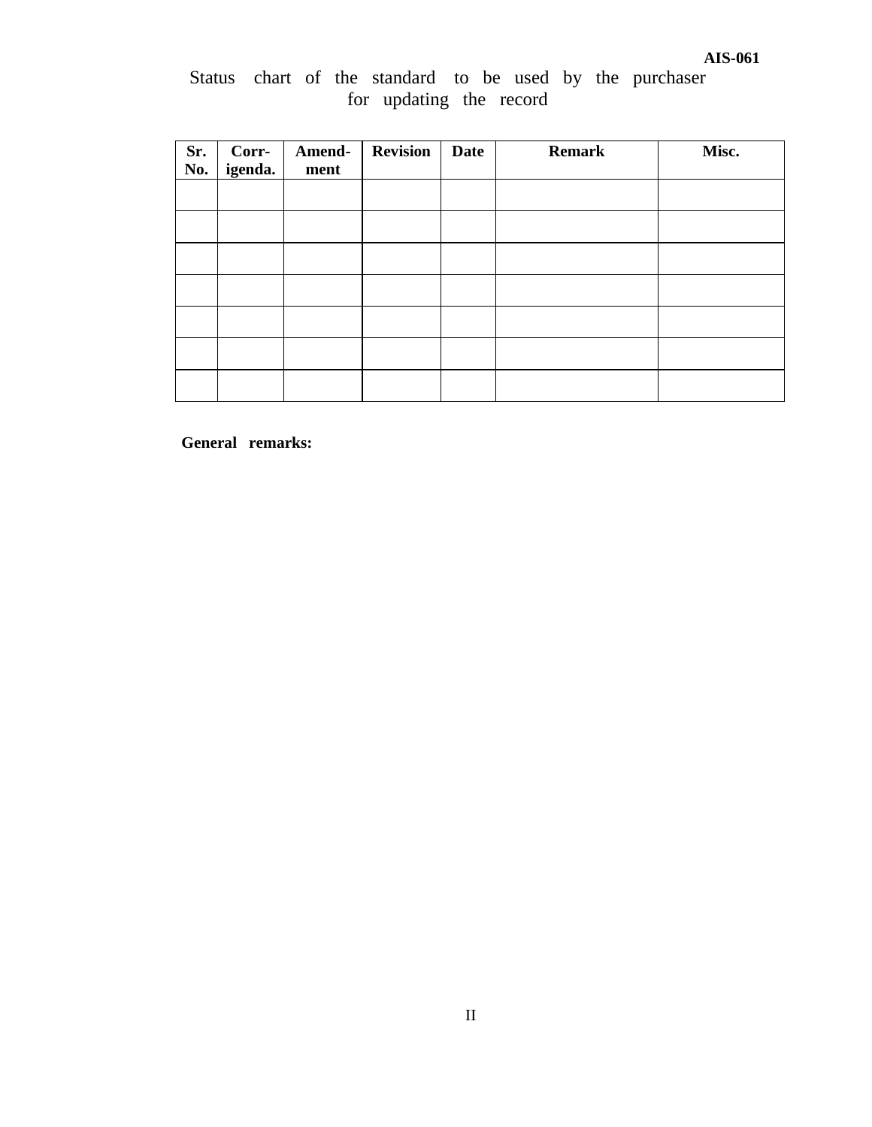# Status chart of the standard to be used by the purchaser for updating the record

| Sr.<br>No. | Corr-<br>igenda. | Amend-<br>ment | <b>Revision</b> | Date | <b>Remark</b> | Misc. |
|------------|------------------|----------------|-----------------|------|---------------|-------|
|            |                  |                |                 |      |               |       |
|            |                  |                |                 |      |               |       |
|            |                  |                |                 |      |               |       |
|            |                  |                |                 |      |               |       |
|            |                  |                |                 |      |               |       |
|            |                  |                |                 |      |               |       |
|            |                  |                |                 |      |               |       |

**General remarks:**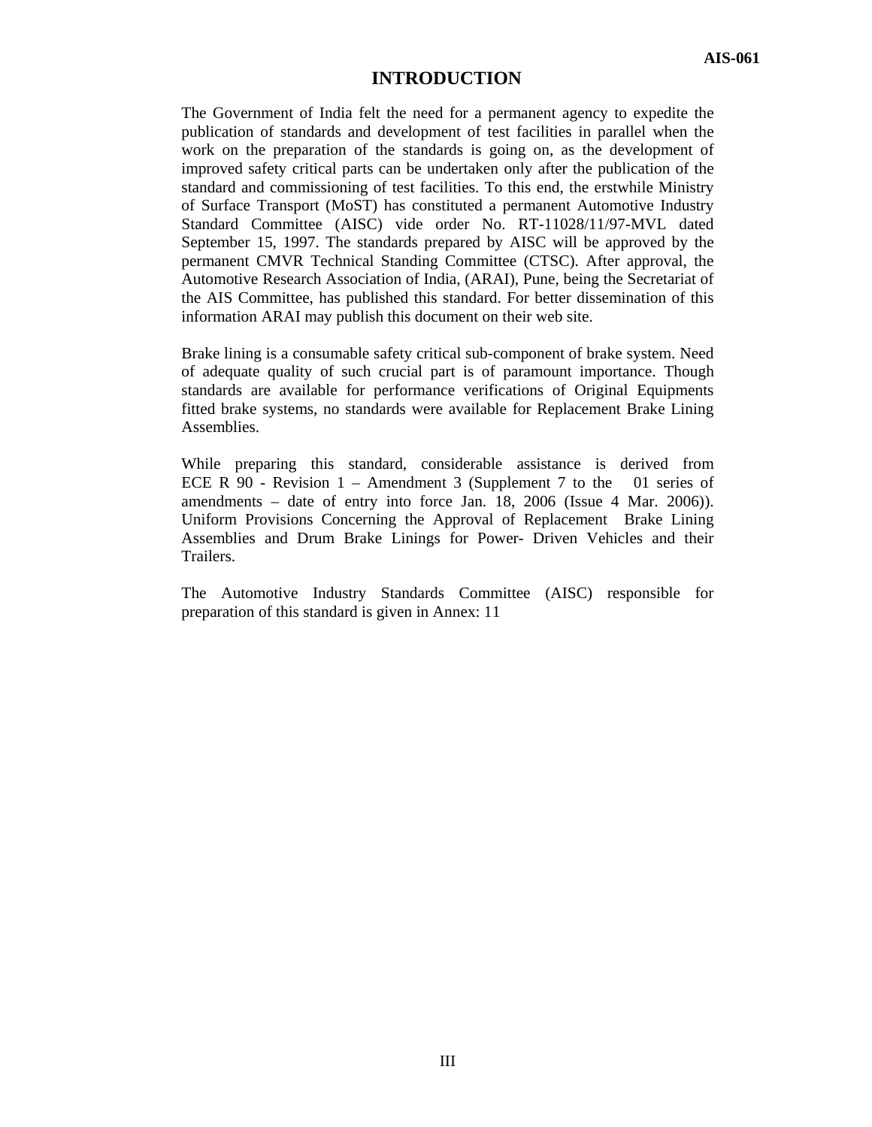# **INTRODUCTION**

The Government of India felt the need for a permanent agency to expedite the publication of standards and development of test facilities in parallel when the work on the preparation of the standards is going on, as the development of improved safety critical parts can be undertaken only after the publication of the standard and commissioning of test facilities. To this end, the erstwhile Ministry of Surface Transport (MoST) has constituted a permanent Automotive Industry Standard Committee (AISC) vide order No. RT-11028/11/97-MVL dated September 15, 1997. The standards prepared by AISC will be approved by the permanent CMVR Technical Standing Committee (CTSC). After approval, the Automotive Research Association of India, (ARAI), Pune, being the Secretariat of the AIS Committee, has published this standard. For better dissemination of this information ARAI may publish this document on their web site.

Brake lining is a consumable safety critical sub-component of brake system. Need of adequate quality of such crucial part is of paramount importance. Though standards are available for performance verifications of Original Equipments fitted brake systems, no standards were available for Replacement Brake Lining Assemblies.

While preparing this standard, considerable assistance is derived from ECE R 90 - Revision 1 – Amendment 3 (Supplement 7 to the 01 series of amendments – date of entry into force Jan. 18, 2006 (Issue 4 Mar. 2006)). Uniform Provisions Concerning the Approval of Replacement Brake Lining Assemblies and Drum Brake Linings for Power- Driven Vehicles and their Trailers.

The Automotive Industry Standards Committee (AISC) responsible for preparation of this standard is given in Annex: 11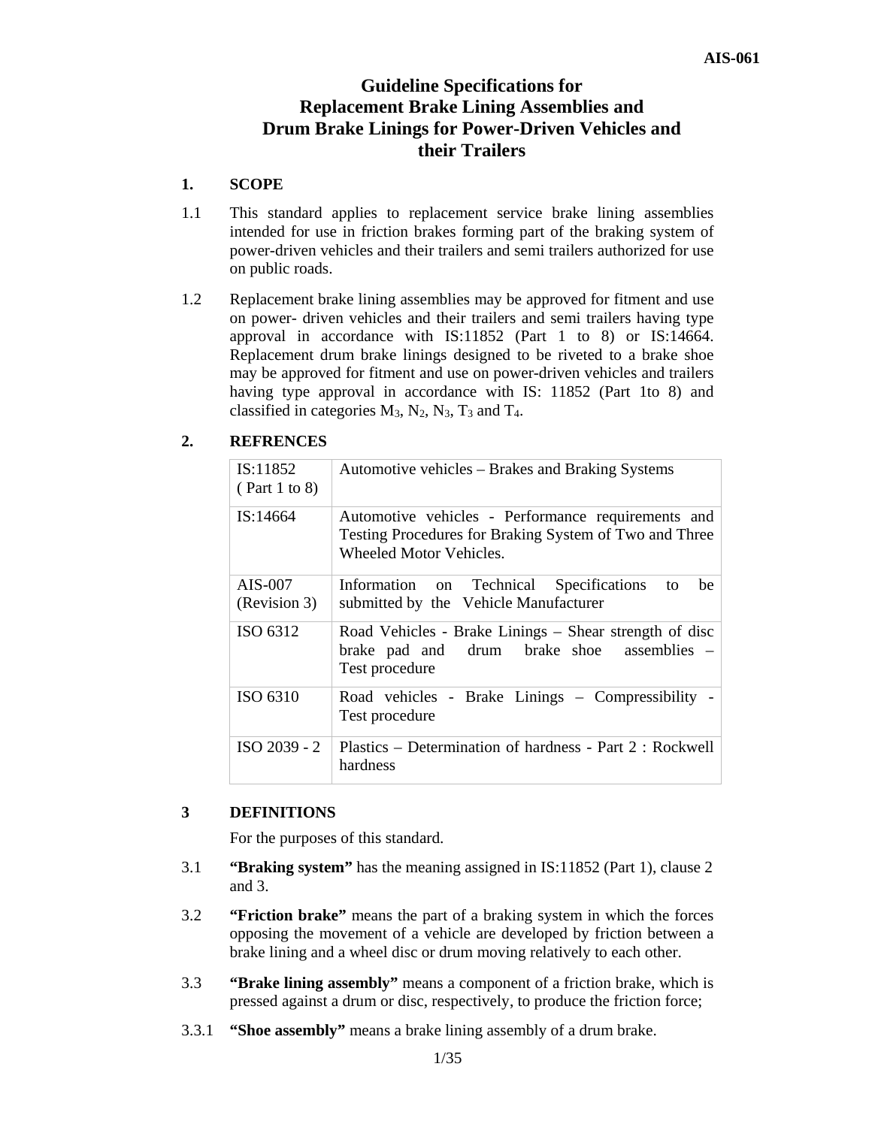# **Guideline Specifications for Replacement Brake Lining Assemblies and Drum Brake Linings for Power-Driven Vehicles and their Trailers**

# **1. SCOPE**

- 1.1 This standard applies to replacement service brake lining assemblies intended for use in friction brakes forming part of the braking system of power-driven vehicles and their trailers and semi trailers authorized for use on public roads.
- 1.2 Replacement brake lining assemblies may be approved for fitment and use on power- driven vehicles and their trailers and semi trailers having type approval in accordance with IS:11852 (Part 1 to 8) or IS:14664. Replacement drum brake linings designed to be riveted to a brake shoe may be approved for fitment and use on power-driven vehicles and trailers having type approval in accordance with IS: 11852 (Part 1to 8) and classified in categories  $M_3$ ,  $N_2$ ,  $N_3$ ,  $T_3$  and  $T_4$ .

# **2. REFRENCES**

| IS:11852<br>(Part 1 to 8) | Automotive vehicles – Brakes and Braking Systems                                                                                        |
|---------------------------|-----------------------------------------------------------------------------------------------------------------------------------------|
| IS:14664                  | Automotive vehicles - Performance requirements and<br>Testing Procedures for Braking System of Two and Three<br>Wheeled Motor Vehicles. |
| AIS-007<br>(Revision 3)   | Information on Technical Specifications<br>be<br>to<br>submitted by the Vehicle Manufacturer                                            |
| ISO 6312                  | Road Vehicles - Brake Linings – Shear strength of disc<br>brake pad and drum brake shoe<br>assemblies $-$<br>Test procedure             |
| ISO 6310                  | Road vehicles - Brake Linings – Compressibility -<br>Test procedure                                                                     |
| ISO 2039 - 2              | Plastics – Determination of hardness - Part 2 : Rockwell<br>hardness                                                                    |

# **3 DEFINITIONS**

For the purposes of this standard.

- 3.1 **"Braking system"** has the meaning assigned in IS:11852 (Part 1), clause 2 and 3.
- 3.2 **"Friction brake"** means the part of a braking system in which the forces opposing the movement of a vehicle are developed by friction between a brake lining and a wheel disc or drum moving relatively to each other.
- 3.3 **"Brake lining assembly"** means a component of a friction brake, which is pressed against a drum or disc, respectively, to produce the friction force;
- 3.3.1 **"Shoe assembly"** means a brake lining assembly of a drum brake.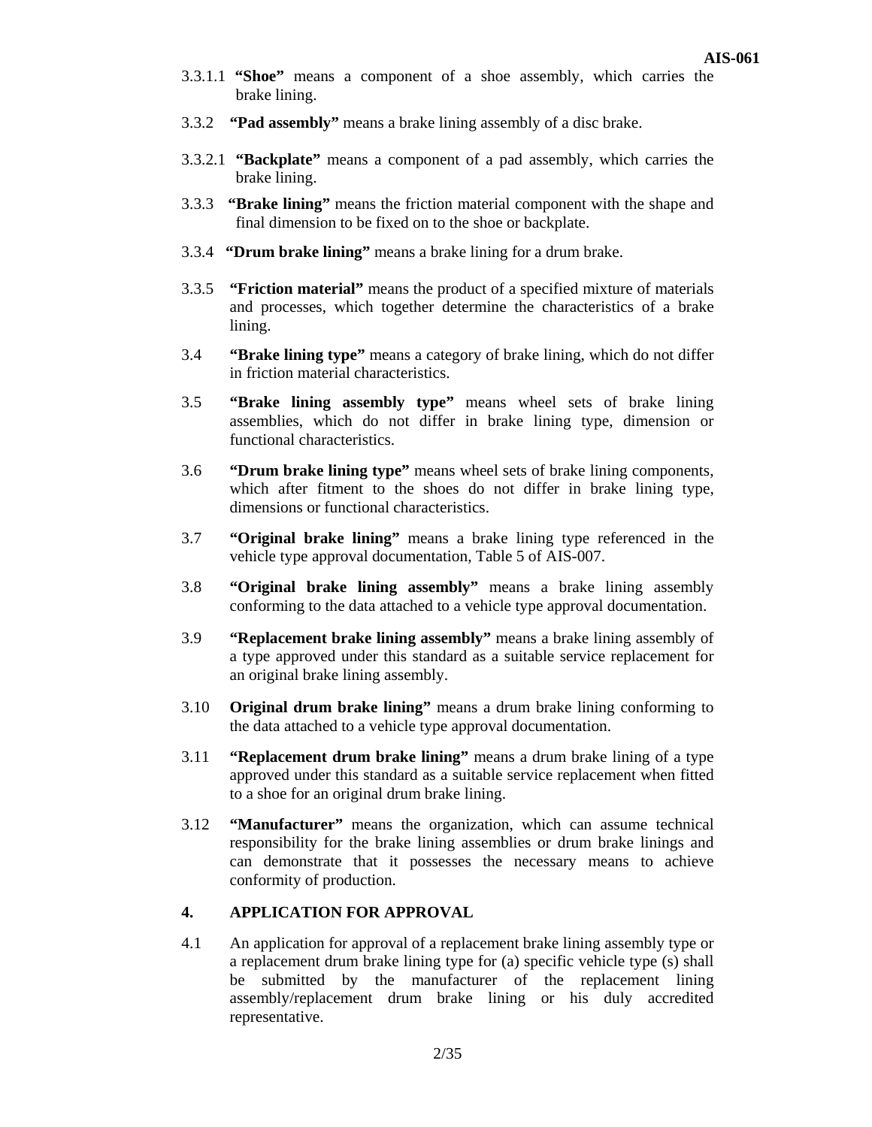- 3.3.1.1 **"Shoe"** means a component of a shoe assembly, which carries the brake lining.
- 3.3.2 **"Pad assembly"** means a brake lining assembly of a disc brake.
- 3.3.2.1 **"Backplate"** means a component of a pad assembly, which carries the brake lining.
- 3.3.3 **"Brake lining"** means the friction material component with the shape and final dimension to be fixed on to the shoe or backplate.
- 3.3.4 **"Drum brake lining"** means a brake lining for a drum brake.
- 3.3.5 **"Friction material"** means the product of a specified mixture of materials and processes, which together determine the characteristics of a brake lining.
- 3.4 **"Brake lining type"** means a category of brake lining, which do not differ in friction material characteristics.
- 3.5 **"Brake lining assembly type"** means wheel sets of brake lining assemblies, which do not differ in brake lining type, dimension or functional characteristics.
- 3.6 **"Drum brake lining type"** means wheel sets of brake lining components, which after fitment to the shoes do not differ in brake lining type, dimensions or functional characteristics.
- 3.7 **"Original brake lining"** means a brake lining type referenced in the vehicle type approval documentation, Table 5 of AIS-007.
- 3.8 **"Original brake lining assembly"** means a brake lining assembly conforming to the data attached to a vehicle type approval documentation.
- 3.9 **"Replacement brake lining assembly"** means a brake lining assembly of a type approved under this standard as a suitable service replacement for an original brake lining assembly.
- 3.10 **Original drum brake lining"** means a drum brake lining conforming to the data attached to a vehicle type approval documentation.
- 3.11 **"Replacement drum brake lining"** means a drum brake lining of a type approved under this standard as a suitable service replacement when fitted to a shoe for an original drum brake lining.
- 3.12 **"Manufacturer"** means the organization, which can assume technical responsibility for the brake lining assemblies or drum brake linings and can demonstrate that it possesses the necessary means to achieve conformity of production.

# **4. APPLICATION FOR APPROVAL**

4.1 An application for approval of a replacement brake lining assembly type or a replacement drum brake lining type for (a) specific vehicle type (s) shall be submitted by the manufacturer of the replacement lining assembly/replacement drum brake lining or his duly accredited representative.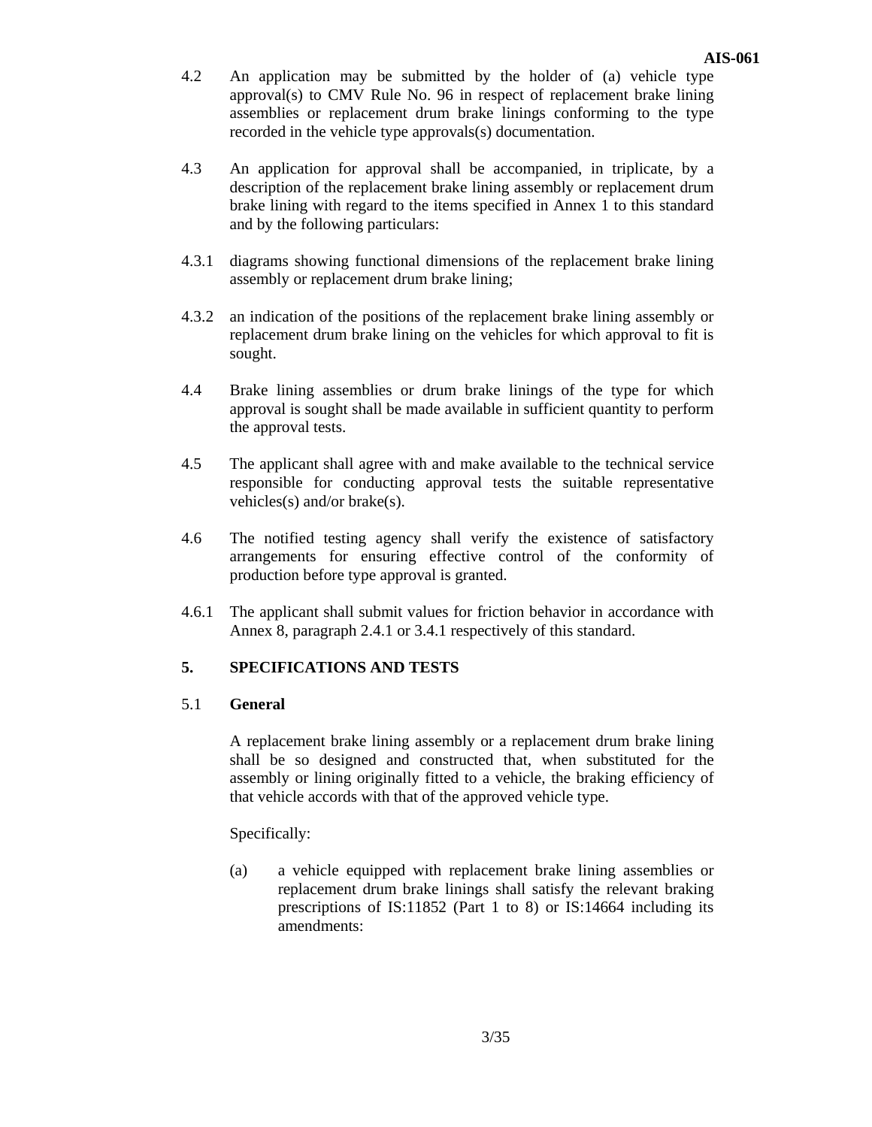- 4.2 An application may be submitted by the holder of (a) vehicle type approval(s) to CMV Rule No. 96 in respect of replacement brake lining assemblies or replacement drum brake linings conforming to the type recorded in the vehicle type approvals(s) documentation.
- 4.3 An application for approval shall be accompanied, in triplicate, by a description of the replacement brake lining assembly or replacement drum brake lining with regard to the items specified in Annex 1 to this standard and by the following particulars:
- 4.3.1 diagrams showing functional dimensions of the replacement brake lining assembly or replacement drum brake lining;
- 4.3.2 an indication of the positions of the replacement brake lining assembly or replacement drum brake lining on the vehicles for which approval to fit is sought.
- 4.4 Brake lining assemblies or drum brake linings of the type for which approval is sought shall be made available in sufficient quantity to perform the approval tests.
- 4.5 The applicant shall agree with and make available to the technical service responsible for conducting approval tests the suitable representative vehicles(s) and/or brake(s).
- 4.6 The notified testing agency shall verify the existence of satisfactory arrangements for ensuring effective control of the conformity of production before type approval is granted.
- 4.6.1 The applicant shall submit values for friction behavior in accordance with Annex 8, paragraph 2.4.1 or 3.4.1 respectively of this standard.

# **5. SPECIFICATIONS AND TESTS**

# 5.1 **General**

A replacement brake lining assembly or a replacement drum brake lining shall be so designed and constructed that, when substituted for the assembly or lining originally fitted to a vehicle, the braking efficiency of that vehicle accords with that of the approved vehicle type.

Specifically:

(a) a vehicle equipped with replacement brake lining assemblies or replacement drum brake linings shall satisfy the relevant braking prescriptions of IS:11852 (Part 1 to 8) or IS:14664 including its amendments: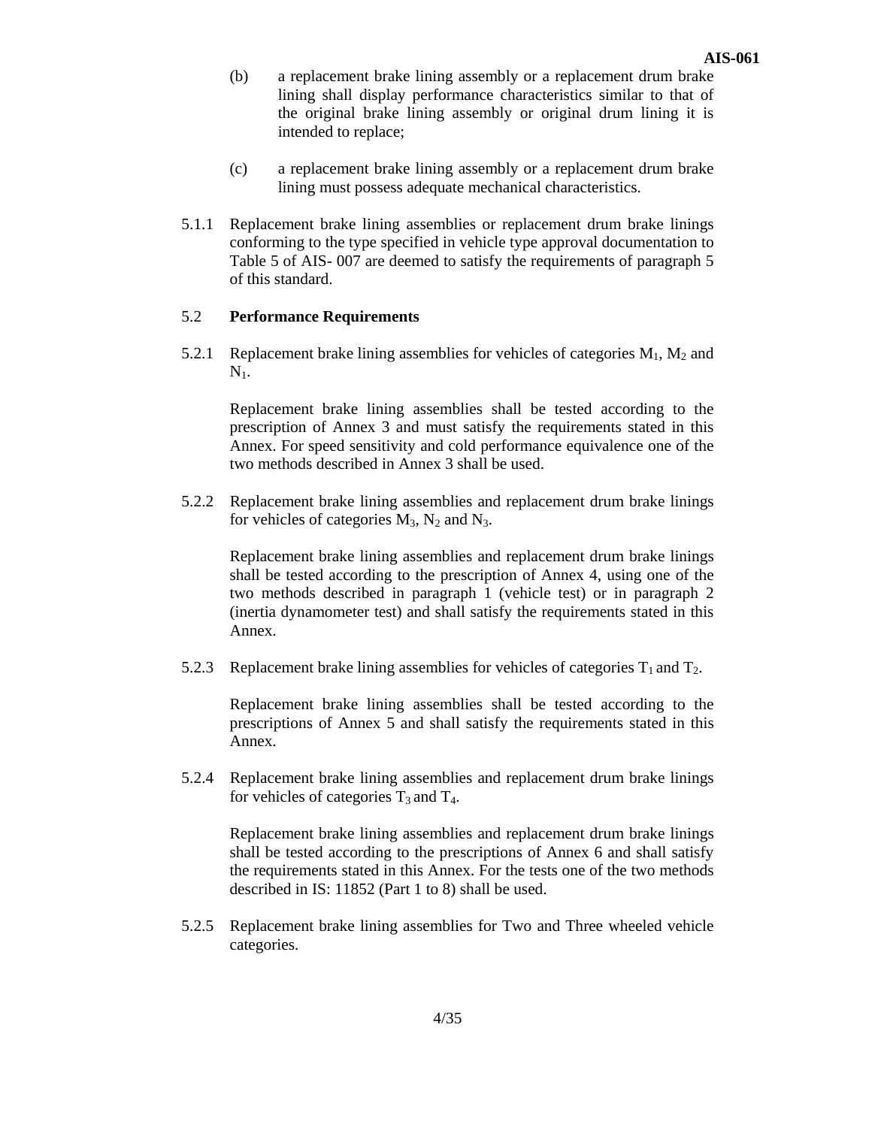- (b) a replacement brake lining assembly or a replacement drum brake lining shall display performance characteristics similar to that of the original brake lining assembly or original drum lining it is intended to replace;
- (c) a replacement brake lining assembly or a replacement drum brake lining must possess adequate mechanical characteristics.
- 5.1.1 Replacement brake lining assemblies or replacement drum brake linings conforming to the type specified in vehicle type approval documentation to Table 5 of AIS- 007 are deemed to satisfy the requirements of paragraph 5 of this standard.

# 5.2 **Performance Requirements**

5.2.1 Replacement brake lining assemblies for vehicles of categories  $M_1, M_2$  and  $N_{1.}$ 

 Replacement brake lining assemblies shall be tested according to the prescription of Annex 3 and must satisfy the requirements stated in this Annex. For speed sensitivity and cold performance equivalence one of the two methods described in Annex 3 shall be used.

5.2.2 Replacement brake lining assemblies and replacement drum brake linings for vehicles of categories  $M_3$ ,  $N_2$  and  $N_3$ .

Replacement brake lining assemblies and replacement drum brake linings shall be tested according to the prescription of Annex 4, using one of the two methods described in paragraph 1 (vehicle test) or in paragraph 2 (inertia dynamometer test) and shall satisfy the requirements stated in this Annex.

5.2.3 Replacement brake lining assemblies for vehicles of categories  $T_1$  and  $T_2$ .

Replacement brake lining assemblies shall be tested according to the prescriptions of Annex 5 and shall satisfy the requirements stated in this Annex.

5.2.4 Replacement brake lining assemblies and replacement drum brake linings for vehicles of categories  $T_3$  and  $T_4$ .

 Replacement brake lining assemblies and replacement drum brake linings shall be tested according to the prescriptions of Annex 6 and shall satisfy the requirements stated in this Annex. For the tests one of the two methods described in IS: 11852 (Part 1 to 8) shall be used.

5.2.5 Replacement brake lining assemblies for Two and Three wheeled vehicle categories.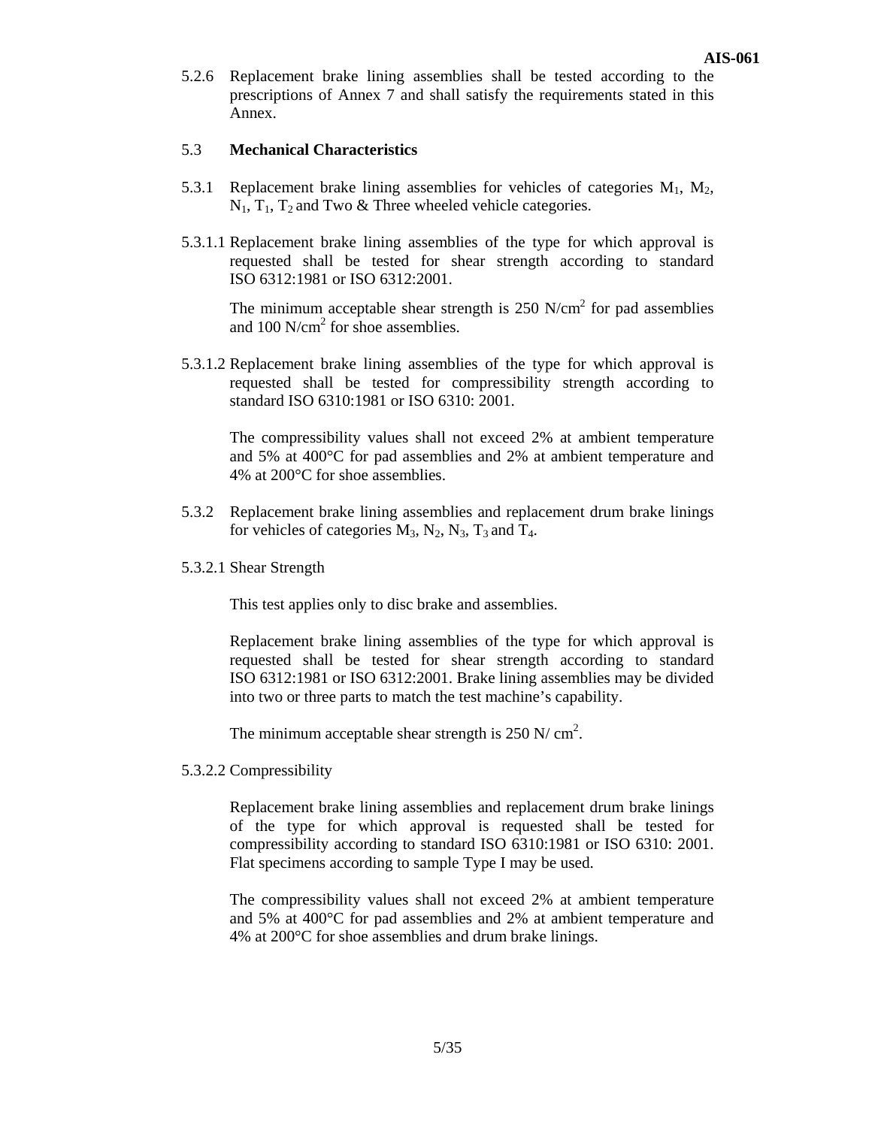5.2.6 Replacement brake lining assemblies shall be tested according to the prescriptions of Annex 7 and shall satisfy the requirements stated in this Annex.

## 5.3 **Mechanical Characteristics**

- 5.3.1 Replacement brake lining assemblies for vehicles of categories  $M_1$ ,  $M_2$ ,  $N_1$ ,  $T_1$ ,  $T_2$  and Two & Three wheeled vehicle categories.
- 5.3.1.1 Replacement brake lining assemblies of the type for which approval is requested shall be tested for shear strength according to standard ISO 6312:1981 or ISO 6312:2001.

The minimum acceptable shear strength is  $250$  N/cm<sup>2</sup> for pad assemblies and  $100 \text{ N/cm}^2$  for shoe assemblies.

5.3.1.2 Replacement brake lining assemblies of the type for which approval is requested shall be tested for compressibility strength according to standard ISO 6310:1981 or ISO 6310: 2001.

 The compressibility values shall not exceed 2% at ambient temperature and 5% at 400°C for pad assemblies and 2% at ambient temperature and 4% at 200°C for shoe assemblies.

- 5.3.2 Replacement brake lining assemblies and replacement drum brake linings for vehicles of categories  $M_3$ ,  $N_2$ ,  $N_3$ ,  $T_3$  and  $T_4$ .
- 5.3.2.1 Shear Strength

This test applies only to disc brake and assemblies.

Replacement brake lining assemblies of the type for which approval is requested shall be tested for shear strength according to standard ISO 6312:1981 or ISO 6312:2001. Brake lining assemblies may be divided into two or three parts to match the test machine's capability.

The minimum acceptable shear strength is  $250 \text{ N/cm}^2$ .

5.3.2.2 Compressibility

Replacement brake lining assemblies and replacement drum brake linings of the type for which approval is requested shall be tested for compressibility according to standard ISO 6310:1981 or ISO 6310: 2001. Flat specimens according to sample Type I may be used.

The compressibility values shall not exceed 2% at ambient temperature and 5% at 400°C for pad assemblies and 2% at ambient temperature and 4% at 200°C for shoe assemblies and drum brake linings.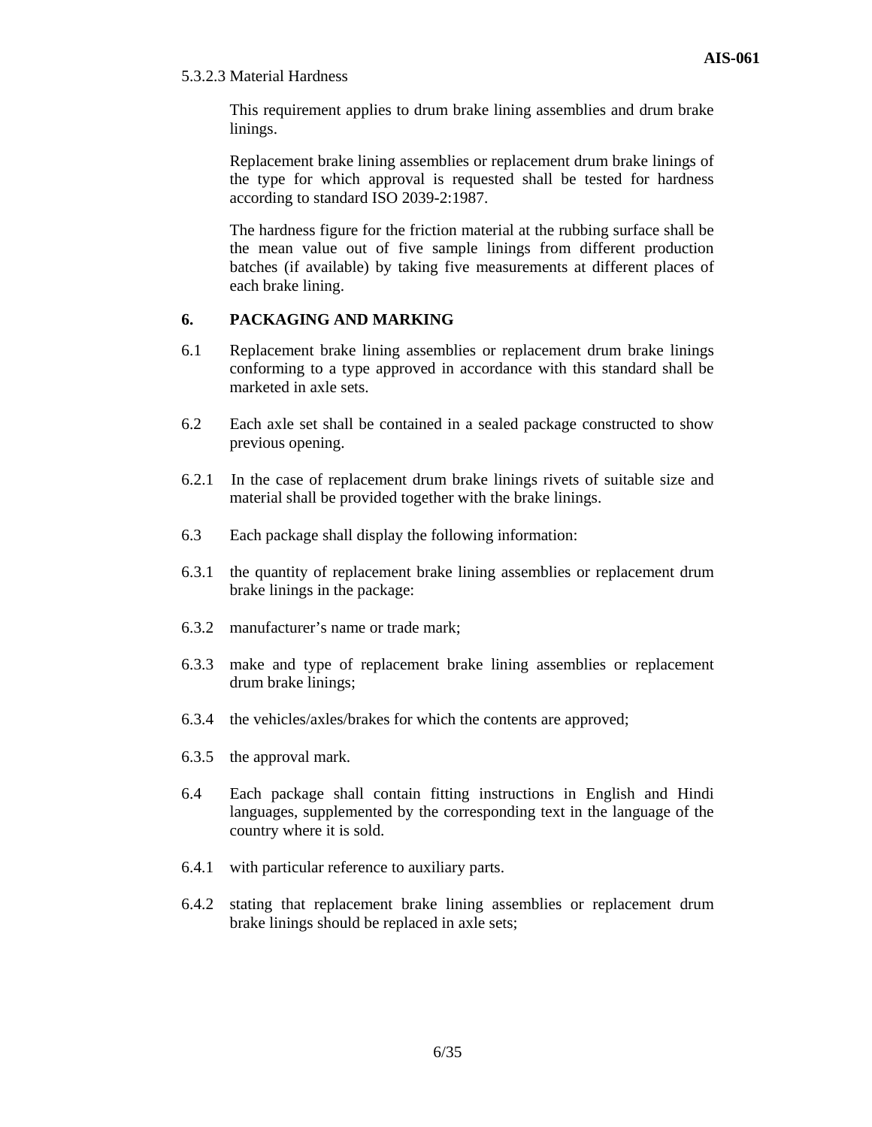#### 5.3.2.3 Material Hardness

This requirement applies to drum brake lining assemblies and drum brake linings.

Replacement brake lining assemblies or replacement drum brake linings of the type for which approval is requested shall be tested for hardness according to standard ISO 2039-2:1987.

The hardness figure for the friction material at the rubbing surface shall be the mean value out of five sample linings from different production batches (if available) by taking five measurements at different places of each brake lining.

# **6. PACKAGING AND MARKING**

- 6.1 Replacement brake lining assemblies or replacement drum brake linings conforming to a type approved in accordance with this standard shall be marketed in axle sets.
- 6.2 Each axle set shall be contained in a sealed package constructed to show previous opening.
- 6.2.1 In the case of replacement drum brake linings rivets of suitable size and material shall be provided together with the brake linings.
- 6.3 Each package shall display the following information:
- 6.3.1 the quantity of replacement brake lining assemblies or replacement drum brake linings in the package:
- 6.3.2 manufacturer's name or trade mark;
- 6.3.3 make and type of replacement brake lining assemblies or replacement drum brake linings;
- 6.3.4 the vehicles/axles/brakes for which the contents are approved;
- 6.3.5 the approval mark.
- 6.4 Each package shall contain fitting instructions in English and Hindi languages, supplemented by the corresponding text in the language of the country where it is sold.
- 6.4.1 with particular reference to auxiliary parts.
- 6.4.2 stating that replacement brake lining assemblies or replacement drum brake linings should be replaced in axle sets;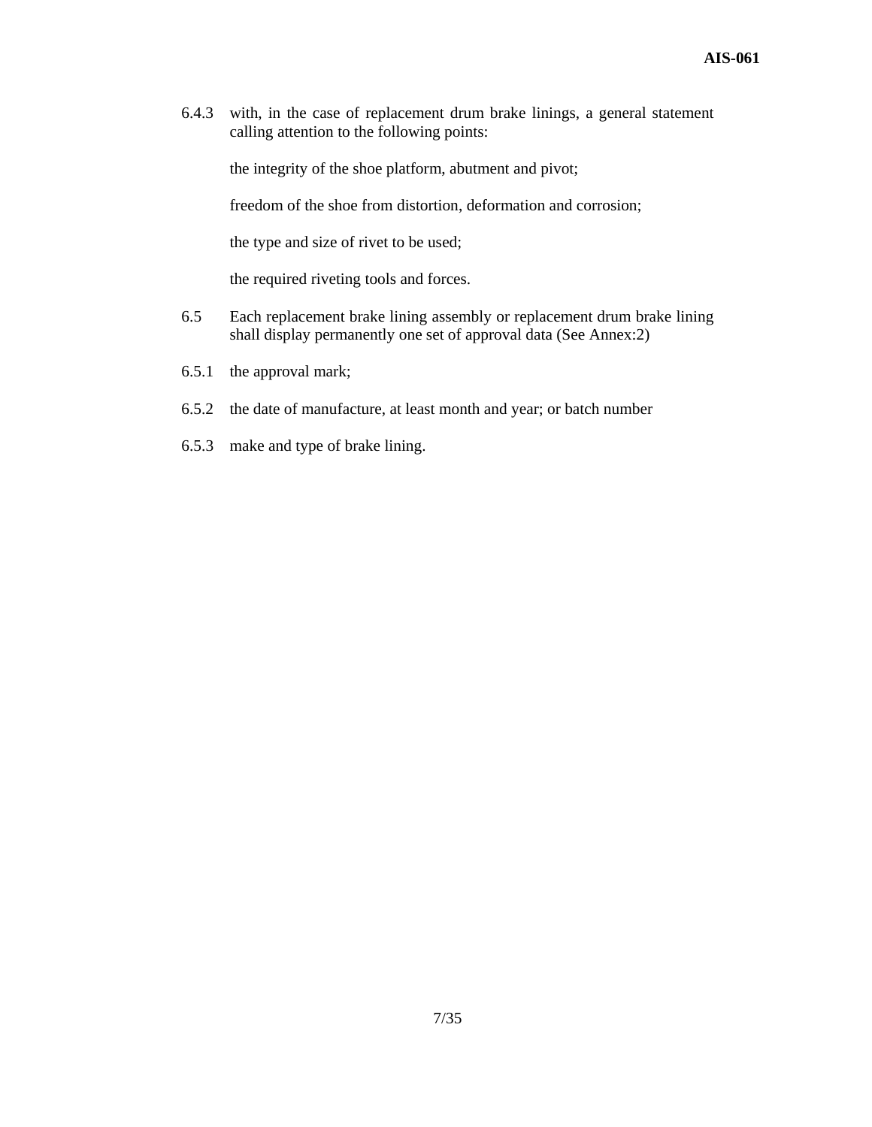6.4.3 with, in the case of replacement drum brake linings, a general statement calling attention to the following points:

the integrity of the shoe platform, abutment and pivot;

freedom of the shoe from distortion, deformation and corrosion;

the type and size of rivet to be used;

the required riveting tools and forces.

- 6.5 Each replacement brake lining assembly or replacement drum brake lining shall display permanently one set of approval data (See Annex:2)
- 6.5.1 the approval mark;
- 6.5.2 the date of manufacture, at least month and year; or batch number
- 6.5.3 make and type of brake lining.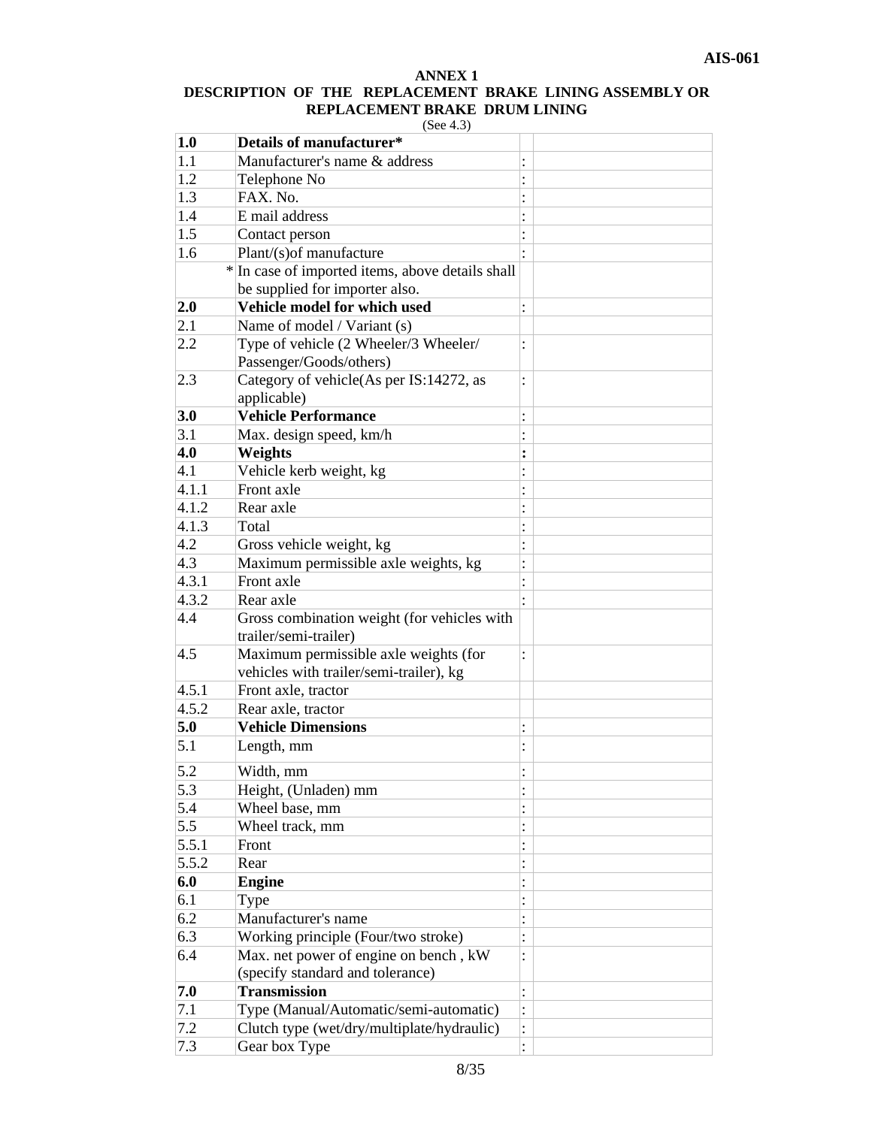# **ANNEX 1 DESCRIPTION OF THE REPLACEMENT BRAKE LINING ASSEMBLY OR REPLACEMENT BRAKE DRUM LINING**

| $\sim$ $\epsilon$ . | 4 |
|---------------------|---|
|                     |   |

| 1.0   | Details of manufacturer*                         |                      |
|-------|--------------------------------------------------|----------------------|
| 1.1   | Manufacturer's name & address                    |                      |
| 1.2   | Telephone No                                     |                      |
| 1.3   | FAX. No.                                         |                      |
| 1.4   | E mail address                                   |                      |
| 1.5   | Contact person                                   |                      |
| 1.6   | Plant/(s) of manufacture                         |                      |
|       | * In case of imported items, above details shall |                      |
|       | be supplied for importer also.                   |                      |
| 2.0   | Vehicle model for which used                     |                      |
| 2.1   | Name of model / Variant (s)                      |                      |
| 2.2   | Type of vehicle (2 Wheeler/3 Wheeler/            | $\ddot{\cdot}$       |
|       | Passenger/Goods/others)                          |                      |
| 2.3   | Category of vehicle(As per IS:14272, as          |                      |
|       | applicable)                                      |                      |
| 3.0   | <b>Vehicle Performance</b>                       | :                    |
| 3.1   | Max. design speed, km/h                          |                      |
| 4.0   | Weights                                          | :                    |
| 4.1   | Vehicle kerb weight, kg                          | $\ddot{\cdot}$       |
| 4.1.1 | Front axle                                       |                      |
| 4.1.2 | Rear axle                                        |                      |
| 4.1.3 | Total                                            | :                    |
| 4.2   | Gross vehicle weight, kg                         |                      |
| 4.3   | Maximum permissible axle weights, kg             | $\ddot{\cdot}$       |
| 4.3.1 | Front axle                                       |                      |
| 4.3.2 | Rear axle                                        | $\bullet$            |
| 4.4   | Gross combination weight (for vehicles with      |                      |
|       | trailer/semi-trailer)                            |                      |
| 4.5   | Maximum permissible axle weights (for            | :                    |
|       | vehicles with trailer/semi-trailer), kg          |                      |
| 4.5.1 | Front axle, tractor                              |                      |
| 4.5.2 | Rear axle, tractor                               |                      |
| 5.0   | <b>Vehicle Dimensions</b>                        | :                    |
| 5.1   | Length, mm                                       | $\ddot{\phantom{0}}$ |
|       |                                                  |                      |
| 5.2   | Width, mm                                        |                      |
| 5.3   | Height, (Unladen) mm                             | $\bullet$            |
| 5.4   | Wheel base, mm                                   | :                    |
| 5.5   | Wheel track, mm                                  | $\vdots$             |
| 5.5.1 | Front                                            |                      |
| 5.5.2 | Rear                                             | $\colon$             |
| 6.0   | <b>Engine</b>                                    | $\vdots$             |
| 6.1   | Type                                             |                      |
| 6.2   | Manufacturer's name                              |                      |
| 6.3   | Working principle (Four/two stroke)              | $\ddot{\cdot}$       |
| 6.4   | Max. net power of engine on bench, kW            | $\ddot{\cdot}$       |
|       | (specify standard and tolerance)                 |                      |
| 7.0   | <b>Transmission</b>                              | $\colon$             |
| 7.1   | Type (Manual/Automatic/semi-automatic)           | $\vdots$             |
| 7.2   | Clutch type (wet/dry/multiplate/hydraulic)       | $\vdots$             |
| 7.3   | Gear box Type                                    | $\vdots$             |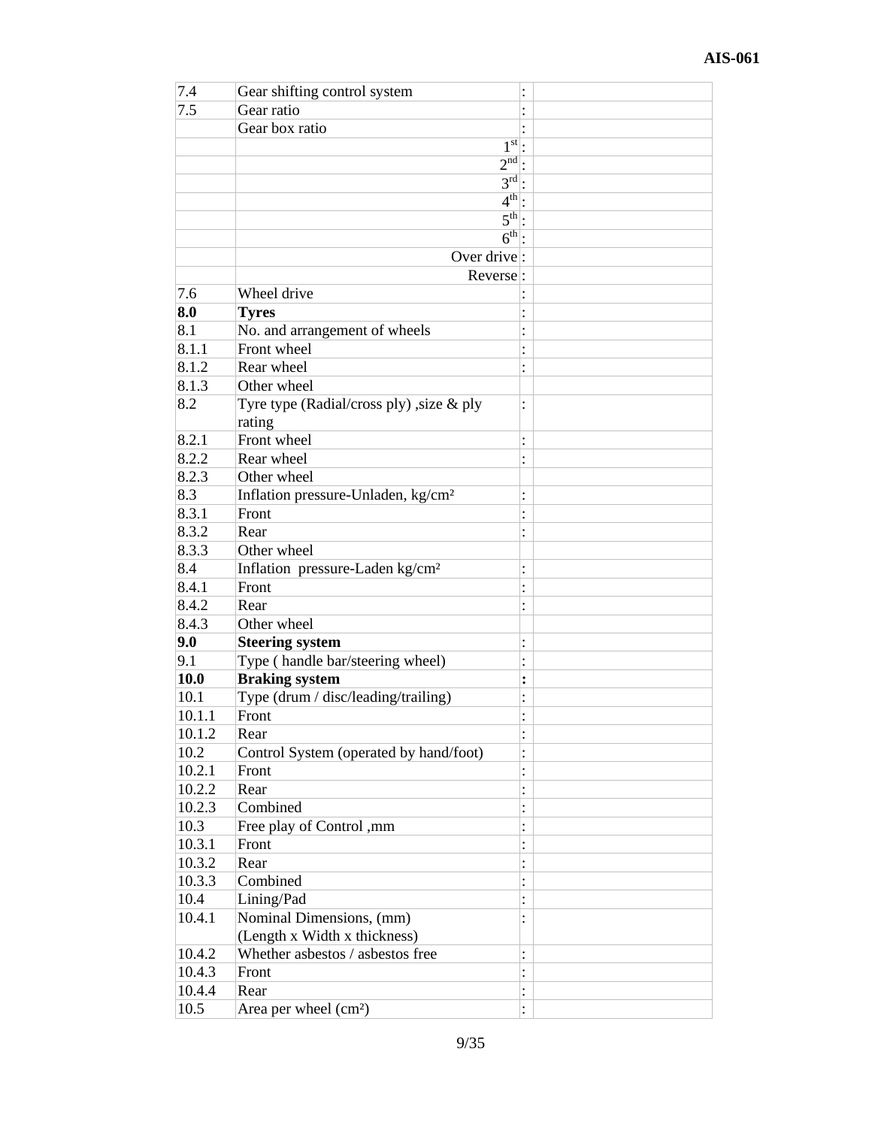| 7.4    | Gear shifting control system                   | $\vdots$       |  |
|--------|------------------------------------------------|----------------|--|
| 7.5    | Gear ratio                                     |                |  |
|        | Gear box ratio                                 |                |  |
|        | $1st$ .                                        |                |  |
|        | $2nd$ :                                        |                |  |
|        | $3^{\text{rd}}$ :                              |                |  |
|        | $4th$ .                                        |                |  |
|        | $\overline{5^{th}}$ :                          |                |  |
|        | $6^{\text{th}}$ :                              |                |  |
|        | Over drive:                                    |                |  |
|        | Reverse:                                       |                |  |
| 7.6    | Wheel drive                                    |                |  |
| 8.0    | <b>Tyres</b>                                   |                |  |
| 8.1    | No. and arrangement of wheels                  |                |  |
| 8.1.1  | Front wheel                                    |                |  |
| 8.1.2  | Rear wheel                                     |                |  |
| 8.1.3  | Other wheel                                    | $\ddot{\cdot}$ |  |
| 8.2    |                                                |                |  |
|        | Tyre type (Radial/cross ply), size $\&$ ply    | $\ddot{\cdot}$ |  |
| 8.2.1  | rating<br>Front wheel                          |                |  |
| 8.2.2  | Rear wheel                                     | $\vdots$       |  |
| 8.2.3  | Other wheel                                    | $\vdots$       |  |
|        |                                                |                |  |
| 8.3    | Inflation pressure-Unladen, kg/cm <sup>2</sup> | $\ddot{\cdot}$ |  |
| 8.3.1  | Front                                          | $\vdots$       |  |
| 8.3.2  | Rear                                           | $\ddot{\cdot}$ |  |
| 8.3.3  | Other wheel                                    |                |  |
| 8.4    | Inflation pressure-Laden kg/cm <sup>2</sup>    | $\vdots$       |  |
| 8.4.1  | Front                                          |                |  |
| 8.4.2  | Rear                                           |                |  |
| 8.4.3  | Other wheel                                    |                |  |
| 9.0    | <b>Steering system</b>                         | $\vdots$       |  |
| 9.1    | Type (handle bar/steering wheel)               | $\cdot$        |  |
| 10.0   | <b>Braking system</b>                          | $\ddot{\cdot}$ |  |
| 10.1   | Type (drum / disc/leading/trailing)            |                |  |
| 10.1.1 | Front                                          | ٠              |  |
| 10.1.2 | Rear                                           | $\ddot{\cdot}$ |  |
| 10.2   | Control System (operated by hand/foot)         |                |  |
| 10.2.1 | Front                                          | $\vdots$       |  |
| 10.2.2 | Rear                                           | $\vdots$       |  |
| 10.2.3 | Combined                                       | $\vdots$       |  |
| 10.3   | Free play of Control ,mm                       | $\vdots$       |  |
| 10.3.1 | Front                                          | $\vdots$       |  |
| 10.3.2 | Rear                                           | $\ddot{\cdot}$ |  |
| 10.3.3 | Combined                                       | $\vdots$       |  |
| 10.4   | Lining/Pad                                     |                |  |
| 10.4.1 | Nominal Dimensions, (mm)                       | $\ddot{\cdot}$ |  |
|        | (Length x Width x thickness)                   |                |  |
| 10.4.2 | Whether asbestos / asbestos free               | $\vdots$       |  |
| 10.4.3 | Front                                          |                |  |
| 10.4.4 | Rear                                           | :              |  |
| 10.5   | Area per wheel (cm <sup>2</sup> )              |                |  |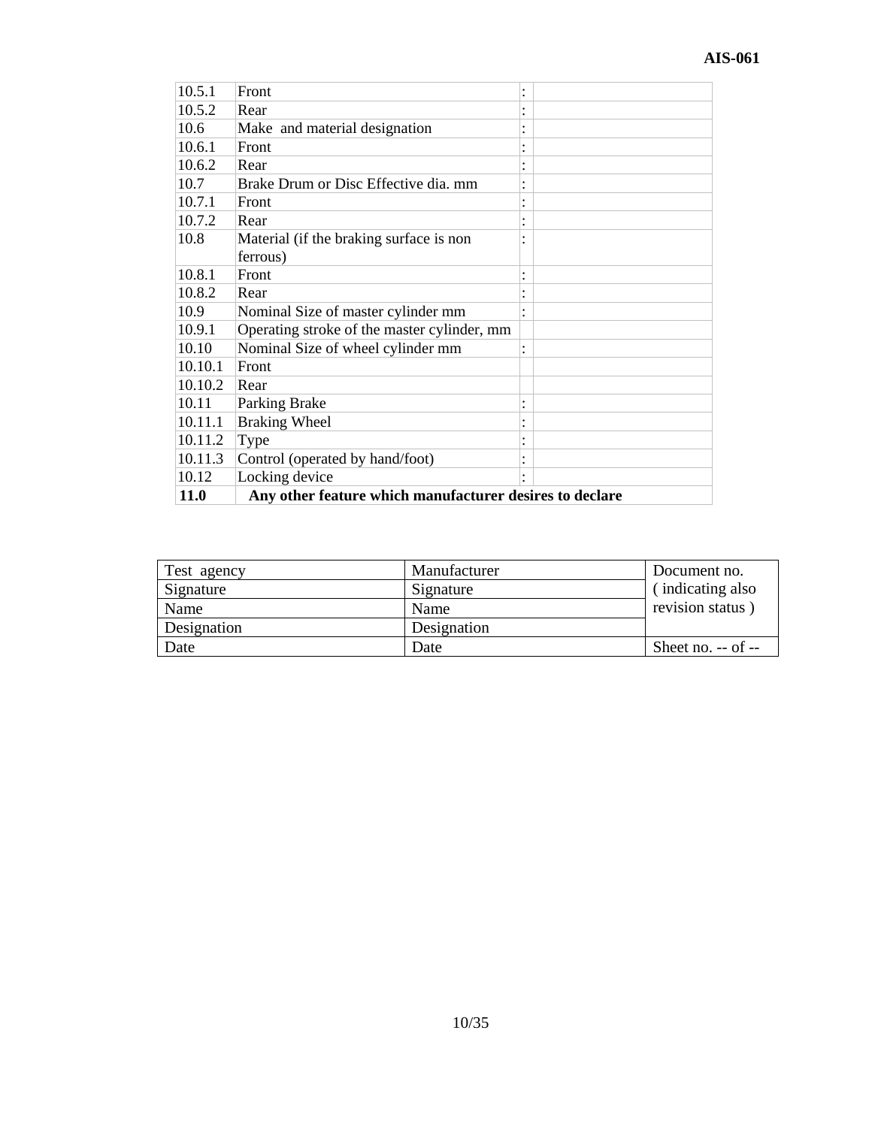| 10.5.1      | Front                                                   |           |  |
|-------------|---------------------------------------------------------|-----------|--|
|             |                                                         |           |  |
| 10.5.2      | Rear                                                    |           |  |
| 10.6        | Make and material designation                           |           |  |
| 10.6.1      | Front                                                   |           |  |
| 10.6.2      | Rear                                                    |           |  |
| 10.7        | Brake Drum or Disc Effective dia. mm                    |           |  |
| 10.7.1      | Front                                                   |           |  |
| 10.7.2      | Rear                                                    |           |  |
| 10.8        | Material (if the braking surface is non                 |           |  |
|             | ferrous)                                                |           |  |
| 10.8.1      | Front                                                   |           |  |
| 10.8.2      | Rear                                                    |           |  |
| 10.9        | Nominal Size of master cylinder mm                      |           |  |
| 10.9.1      | Operating stroke of the master cylinder, mm             |           |  |
| 10.10       | Nominal Size of wheel cylinder mm                       | $\bullet$ |  |
| 10.10.1     | Front                                                   |           |  |
| 10.10.2     | Rear                                                    |           |  |
| 10.11       | Parking Brake                                           |           |  |
| 10.11.1     | <b>Braking Wheel</b>                                    |           |  |
| 10.11.2     | Type                                                    |           |  |
| 10.11.3     | Control (operated by hand/foot)                         |           |  |
| 10.12       | Locking device                                          |           |  |
| <b>11.0</b> | Any other feature which manufacturer desires to declare |           |  |

| Test agency | Manufacturer | Document no.         |
|-------------|--------------|----------------------|
| Signature   | Signature    | (indicating also     |
| Name        | Name         | revision status)     |
| Designation | Designation  |                      |
| Date        | Date         | Sheet no. $-$ of $-$ |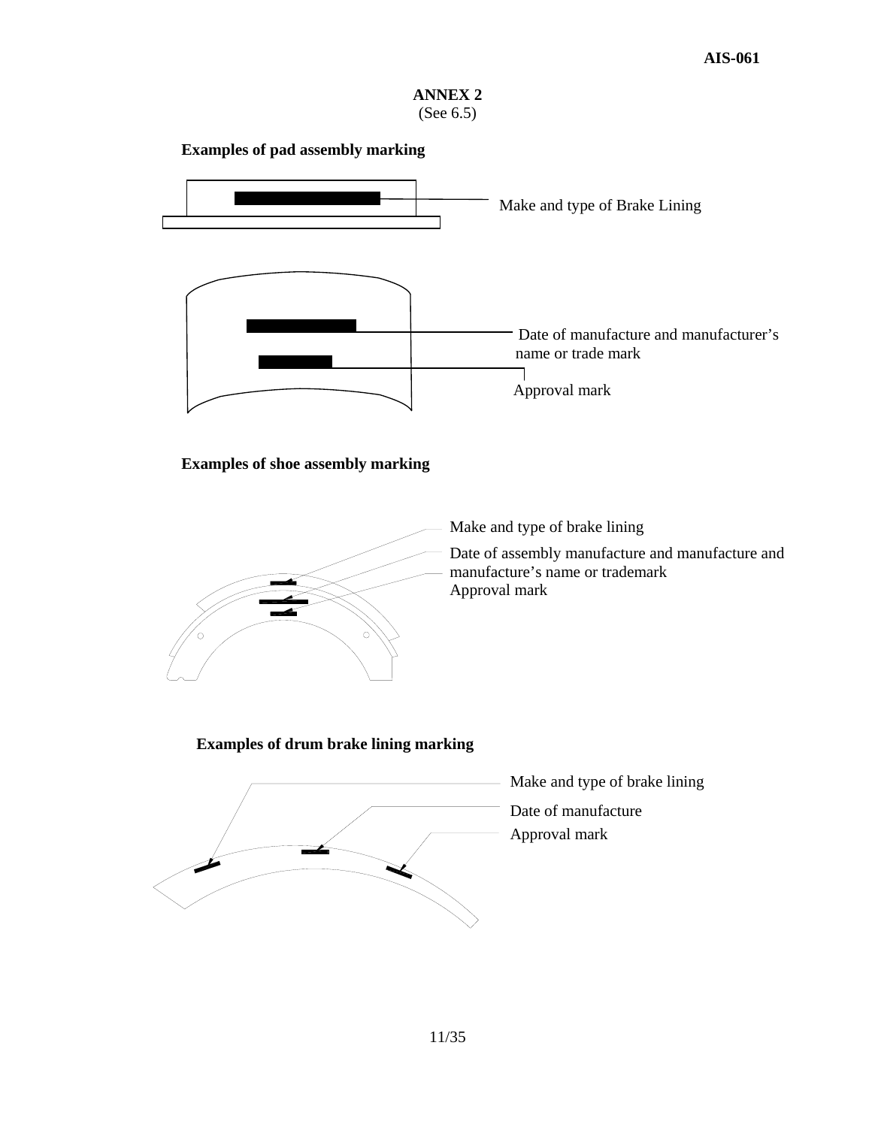

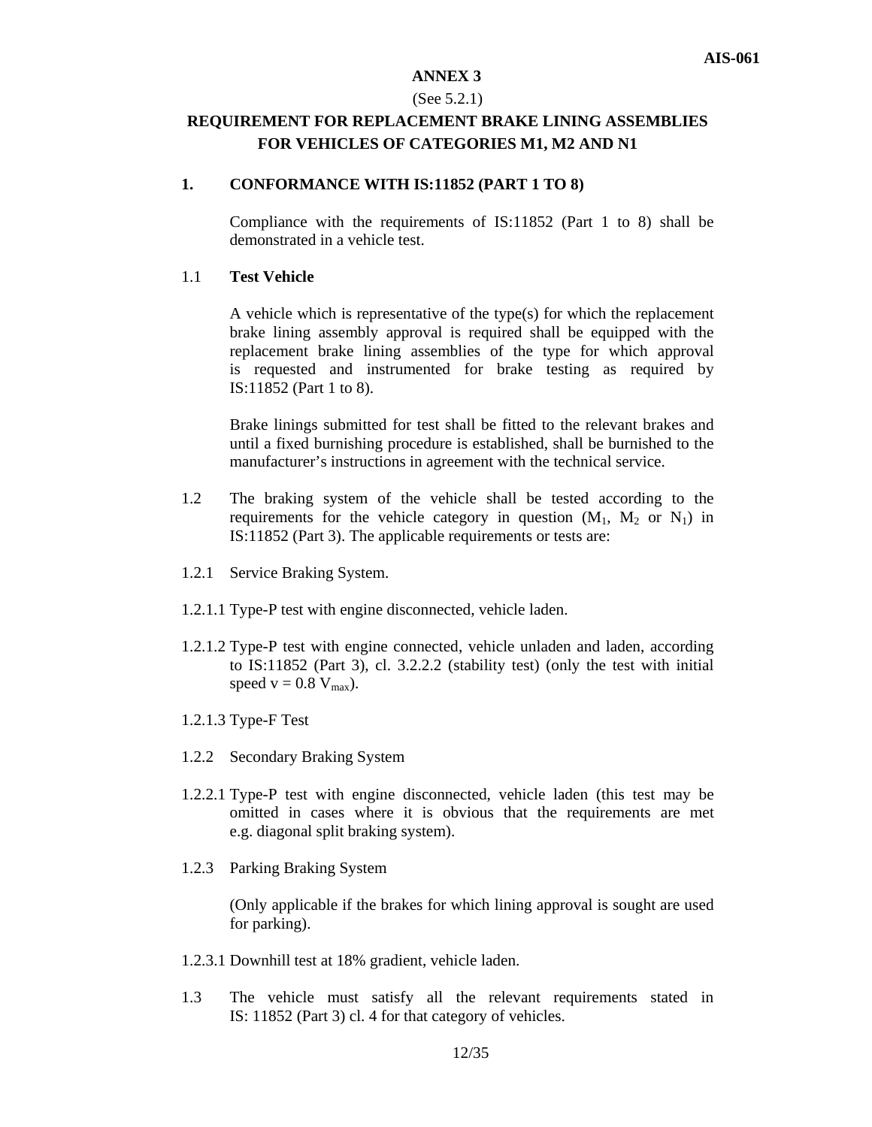#### (See 5.2.1)

# **REQUIREMENT FOR REPLACEMENT BRAKE LINING ASSEMBLIES FOR VEHICLES OF CATEGORIES M1, M2 AND N1**

#### **1. CONFORMANCE WITH IS:11852 (PART 1 TO 8)**

Compliance with the requirements of IS:11852 (Part 1 to 8) shall be demonstrated in a vehicle test.

#### 1.1 **Test Vehicle**

A vehicle which is representative of the type(s) for which the replacement brake lining assembly approval is required shall be equipped with the replacement brake lining assemblies of the type for which approval is requested and instrumented for brake testing as required by IS:11852 (Part 1 to 8).

Brake linings submitted for test shall be fitted to the relevant brakes and until a fixed burnishing procedure is established, shall be burnished to the manufacturer's instructions in agreement with the technical service.

- 1.2 The braking system of the vehicle shall be tested according to the requirements for the vehicle category in question  $(M_1, M_2, \text{or } N_1)$  in IS:11852 (Part 3). The applicable requirements or tests are:
- 1.2.1 Service Braking System.
- 1.2.1.1 Type-P test with engine disconnected, vehicle laden.
- 1.2.1.2 Type-P test with engine connected, vehicle unladen and laden, according to IS:11852 (Part 3), cl. 3.2.2.2 (stability test) (only the test with initial speed  $v = 0.8 V_{max}$ ).
- 1.2.1.3 Type-F Test
- 1.2.2 Secondary Braking System
- 1.2.2.1 Type-P test with engine disconnected, vehicle laden (this test may be omitted in cases where it is obvious that the requirements are met e.g. diagonal split braking system).
- 1.2.3 Parking Braking System

(Only applicable if the brakes for which lining approval is sought are used for parking).

- 1.2.3.1 Downhill test at 18% gradient, vehicle laden.
- 1.3 The vehicle must satisfy all the relevant requirements stated in IS: 11852 (Part 3) cl. 4 for that category of vehicles.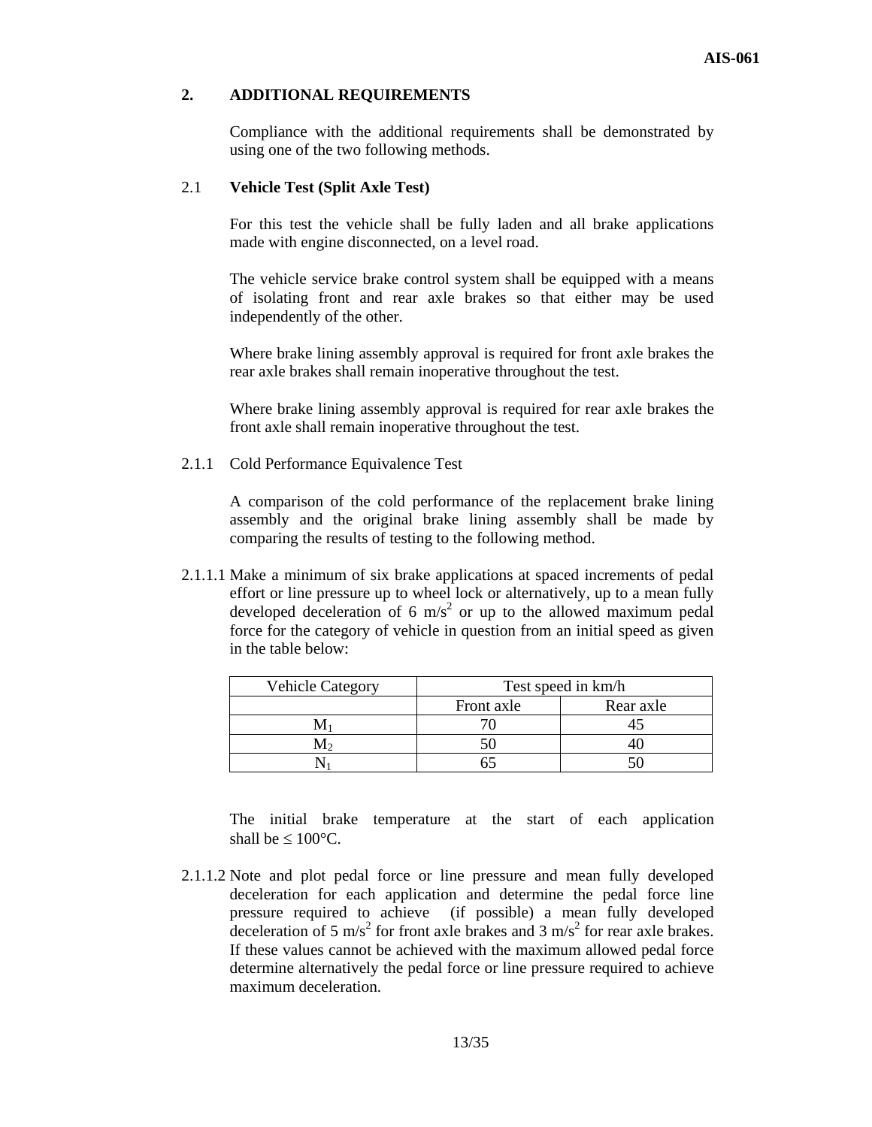# **2. ADDITIONAL REQUIREMENTS**

Compliance with the additional requirements shall be demonstrated by using one of the two following methods.

#### 2.1 **Vehicle Test (Split Axle Test)**

For this test the vehicle shall be fully laden and all brake applications made with engine disconnected, on a level road.

The vehicle service brake control system shall be equipped with a means of isolating front and rear axle brakes so that either may be used independently of the other.

Where brake lining assembly approval is required for front axle brakes the rear axle brakes shall remain inoperative throughout the test.

Where brake lining assembly approval is required for rear axle brakes the front axle shall remain inoperative throughout the test.

2.1.1 Cold Performance Equivalence Test

A comparison of the cold performance of the replacement brake lining assembly and the original brake lining assembly shall be made by comparing the results of testing to the following method.

2.1.1.1 Make a minimum of six brake applications at spaced increments of pedal effort or line pressure up to wheel lock or alternatively, up to a mean fully developed deceleration of 6  $\text{m/s}^2$  or up to the allowed maximum pedal force for the category of vehicle in question from an initial speed as given in the table below:

| <b>Vehicle Category</b> | Test speed in km/h |           |  |
|-------------------------|--------------------|-----------|--|
|                         | Front axle         | Rear axle |  |
|                         |                    |           |  |
|                         |                    |           |  |
|                         |                    |           |  |

The initial brake temperature at the start of each application shall be  $\leq 100^{\circ}$ C.

2.1.1.2 Note and plot pedal force or line pressure and mean fully developed deceleration for each application and determine the pedal force line pressure required to achieve (if possible) a mean fully developed deceleration of 5 m/s<sup>2</sup> for front axle brakes and 3 m/s<sup>2</sup> for rear axle brakes. If these values cannot be achieved with the maximum allowed pedal force determine alternatively the pedal force or line pressure required to achieve maximum deceleration.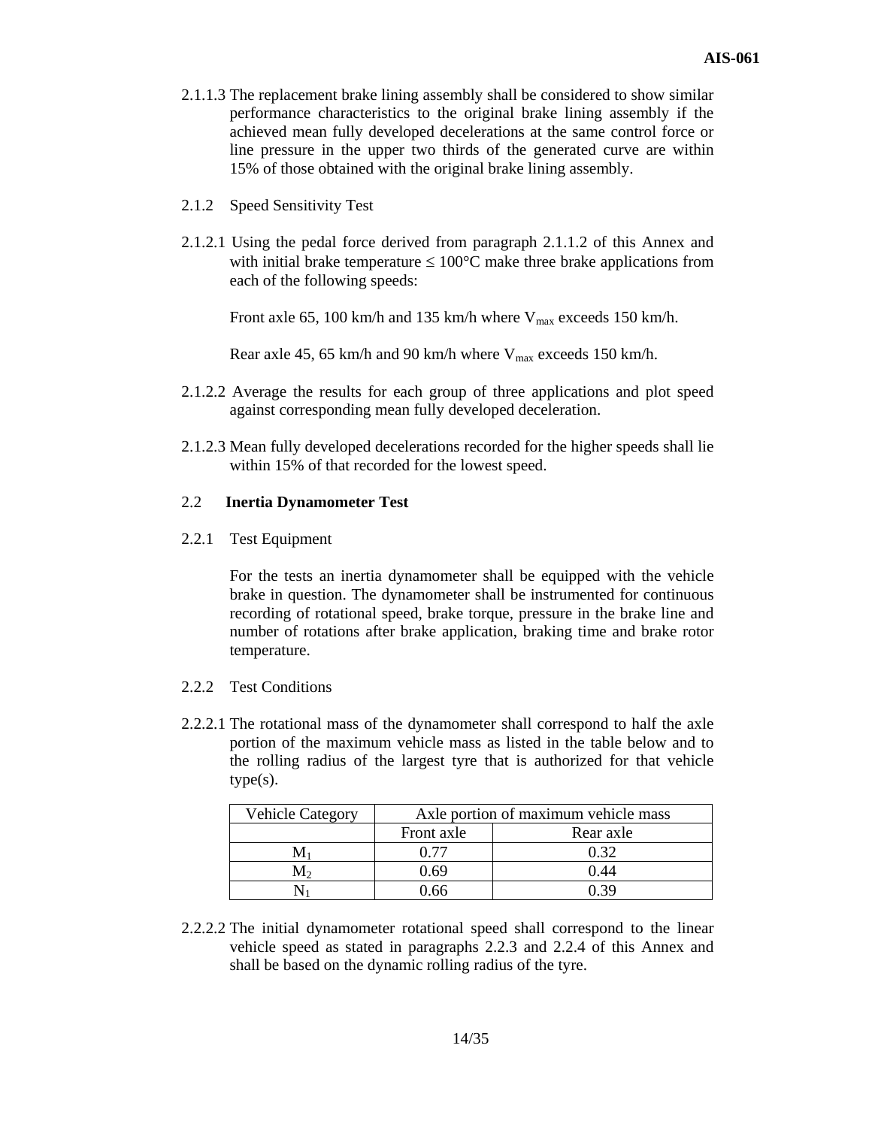- 2.1.1.3 The replacement brake lining assembly shall be considered to show similar performance characteristics to the original brake lining assembly if the achieved mean fully developed decelerations at the same control force or line pressure in the upper two thirds of the generated curve are within 15% of those obtained with the original brake lining assembly.
- 2.1.2 Speed Sensitivity Test
- 2.1.2.1 Using the pedal force derived from paragraph 2.1.1.2 of this Annex and with initial brake temperature  $\leq 100^{\circ}$ C make three brake applications from each of the following speeds:

Front axle 65, 100 km/h and 135 km/h where  $V_{\text{max}}$  exceeds 150 km/h.

Rear axle 45, 65 km/h and 90 km/h where  $V_{\text{max}}$  exceeds 150 km/h.

- 2.1.2.2 Average the results for each group of three applications and plot speed against corresponding mean fully developed deceleration.
- 2.1.2.3 Mean fully developed decelerations recorded for the higher speeds shall lie within 15% of that recorded for the lowest speed.

## 2.2 **Inertia Dynamometer Test**

2.2.1 Test Equipment

For the tests an inertia dynamometer shall be equipped with the vehicle brake in question. The dynamometer shall be instrumented for continuous recording of rotational speed, brake torque, pressure in the brake line and number of rotations after brake application, braking time and brake rotor temperature.

- 2.2.2 Test Conditions
- 2.2.2.1 The rotational mass of the dynamometer shall correspond to half the axle portion of the maximum vehicle mass as listed in the table below and to the rolling radius of the largest tyre that is authorized for that vehicle type(s).

| <b>Vehicle Category</b> | Axle portion of maximum vehicle mass |           |  |
|-------------------------|--------------------------------------|-----------|--|
|                         | Front axle                           | Rear axle |  |
|                         | N 77                                 | ባ 32      |  |
|                         | በ 69                                 | ().44     |  |
|                         | በ 66                                 |           |  |

2.2.2.2 The initial dynamometer rotational speed shall correspond to the linear vehicle speed as stated in paragraphs 2.2.3 and 2.2.4 of this Annex and shall be based on the dynamic rolling radius of the tyre.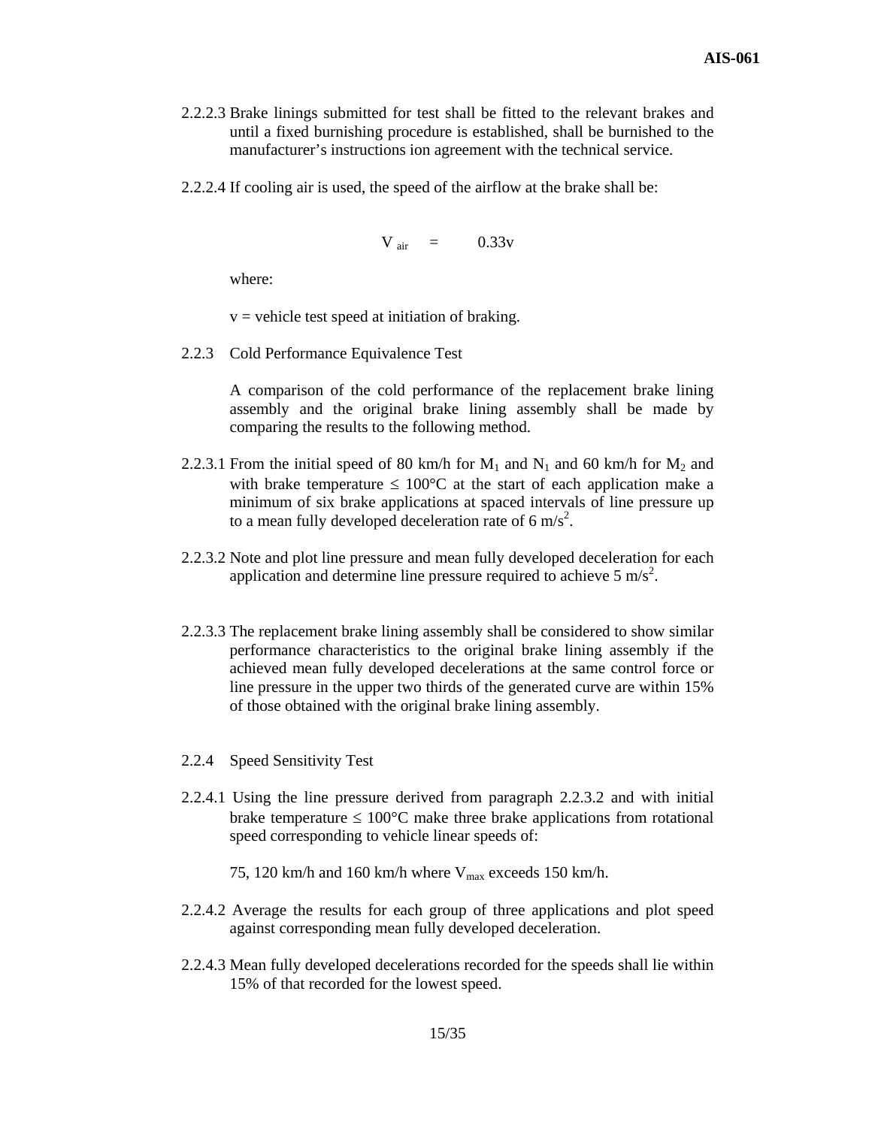- 2.2.2.3 Brake linings submitted for test shall be fitted to the relevant brakes and until a fixed burnishing procedure is established, shall be burnished to the manufacturer's instructions ion agreement with the technical service.
- 2.2.2.4 If cooling air is used, the speed of the airflow at the brake shall be:

$$
V_{air} = 0.33v
$$

where:

 $v =$  vehicle test speed at initiation of braking.

2.2.3 Cold Performance Equivalence Test

A comparison of the cold performance of the replacement brake lining assembly and the original brake lining assembly shall be made by comparing the results to the following method.

- 2.2.3.1 From the initial speed of 80 km/h for  $M_1$  and  $N_1$  and 60 km/h for  $M_2$  and with brake temperature  $\leq 100^{\circ}$ C at the start of each application make a minimum of six brake applications at spaced intervals of line pressure up to a mean fully developed deceleration rate of 6 m/s<sup>2</sup>.
- 2.2.3.2 Note and plot line pressure and mean fully developed deceleration for each application and determine line pressure required to achieve 5  $\text{m/s}^2$ .
- 2.2.3.3 The replacement brake lining assembly shall be considered to show similar performance characteristics to the original brake lining assembly if the achieved mean fully developed decelerations at the same control force or line pressure in the upper two thirds of the generated curve are within 15% of those obtained with the original brake lining assembly.
- 2.2.4 Speed Sensitivity Test
- 2.2.4.1 Using the line pressure derived from paragraph 2.2.3.2 and with initial brake temperature  $\leq 100^{\circ}$ C make three brake applications from rotational speed corresponding to vehicle linear speeds of:
	- 75, 120 km/h and 160 km/h where  $V_{\text{max}}$  exceeds 150 km/h.
- 2.2.4.2 Average the results for each group of three applications and plot speed against corresponding mean fully developed deceleration.
- 2.2.4.3 Mean fully developed decelerations recorded for the speeds shall lie within 15% of that recorded for the lowest speed.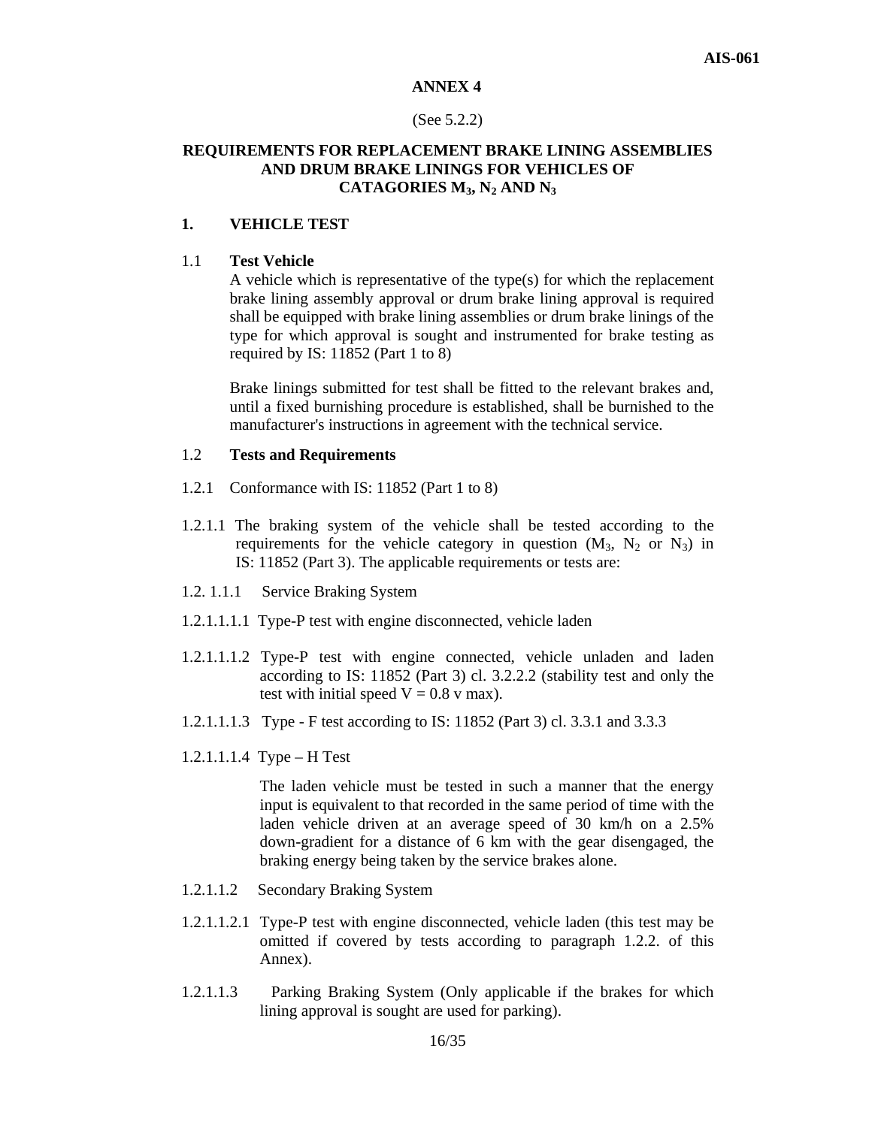#### (See 5.2.2)

# **REQUIREMENTS FOR REPLACEMENT BRAKE LINING ASSEMBLIES AND DRUM BRAKE LININGS FOR VEHICLES OF CATAGORIES M3, N2 AND N3**

# **1. VEHICLE TEST**

#### 1.1 **Test Vehicle**

A vehicle which is representative of the type(s) for which the replacement brake lining assembly approval or drum brake lining approval is required shall be equipped with brake lining assemblies or drum brake linings of the type for which approval is sought and instrumented for brake testing as required by IS: 11852 (Part 1 to 8)

Brake linings submitted for test shall be fitted to the relevant brakes and, until a fixed burnishing procedure is established, shall be burnished to the manufacturer's instructions in agreement with the technical service.

#### 1.2 **Tests and Requirements**

- 1.2.1 Conformance with IS: 11852 (Part 1 to 8)
- 1.2.1.1 The braking system of the vehicle shall be tested according to the requirements for the vehicle category in question  $(M_3, N_2 \text{ or } N_3)$  in IS: 11852 (Part 3). The applicable requirements or tests are:
- 1.2. 1.1.1 Service Braking System
- 1.2.1.1.1.1 Type-P test with engine disconnected, vehicle laden
- 1.2.1.1.1.2 Type-P test with engine connected, vehicle unladen and laden according to IS: 11852 (Part 3) cl. 3.2.2.2 (stability test and only the test with initial speed  $V = 0.8$  v max).
- 1.2.1.1.1.3 Type F test according to IS: 11852 (Part 3) cl. 3.3.1 and 3.3.3
- 1.2.1.1.1.4 Type H Test

The laden vehicle must be tested in such a manner that the energy input is equivalent to that recorded in the same period of time with the laden vehicle driven at an average speed of 30 km/h on a 2.5% down-gradient for a distance of 6 km with the gear disengaged, the braking energy being taken by the service brakes alone.

- 1.2.1.1.2 Secondary Braking System
- 1.2.1.1.2.1 Type-P test with engine disconnected, vehicle laden (this test may be omitted if covered by tests according to paragraph 1.2.2. of this Annex).
- 1.2.1.1.3 Parking Braking System (Only applicable if the brakes for which lining approval is sought are used for parking).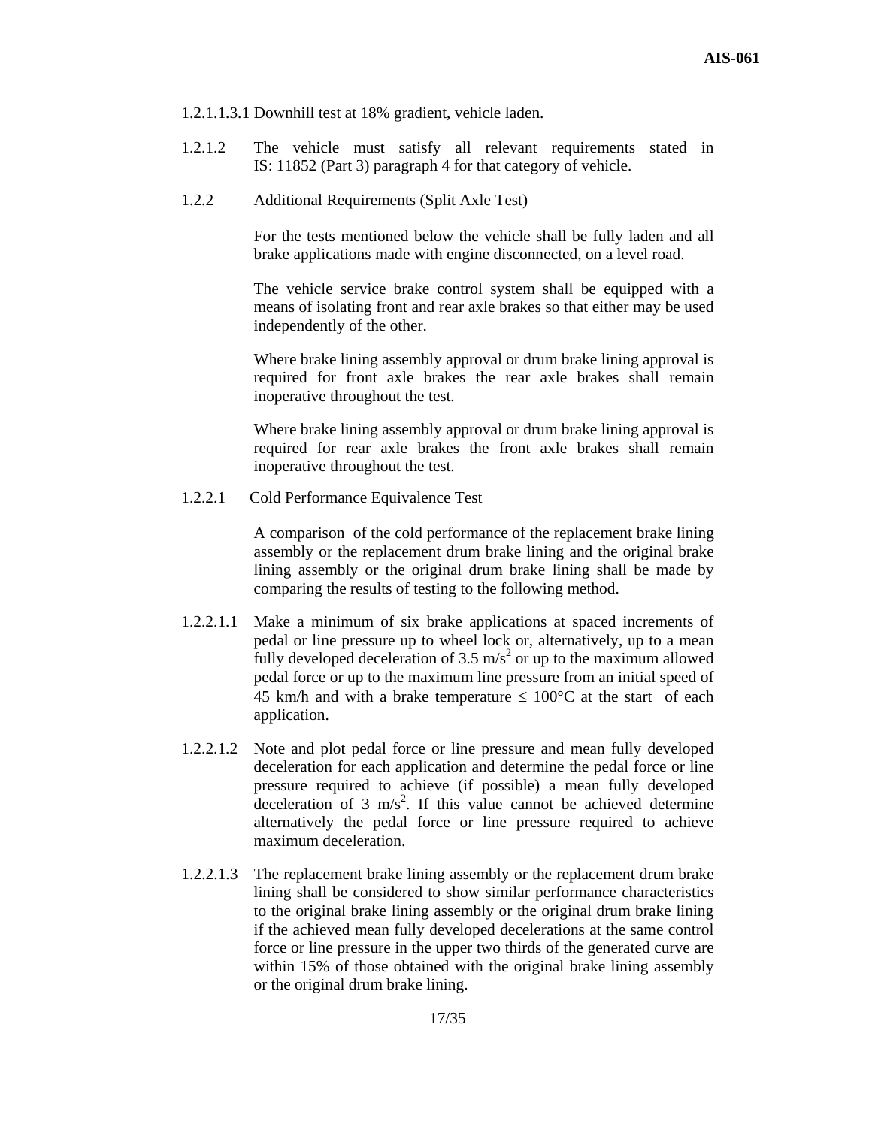- 1.2.1.1.3.1 Downhill test at 18% gradient, vehicle laden.
- 1.2.1.2 The vehicle must satisfy all relevant requirements stated in IS: 11852 (Part 3) paragraph 4 for that category of vehicle.
- 1.2.2 Additional Requirements (Split Axle Test)

For the tests mentioned below the vehicle shall be fully laden and all brake applications made with engine disconnected, on a level road.

The vehicle service brake control system shall be equipped with a means of isolating front and rear axle brakes so that either may be used independently of the other.

Where brake lining assembly approval or drum brake lining approval is required for front axle brakes the rear axle brakes shall remain inoperative throughout the test.

Where brake lining assembly approval or drum brake lining approval is required for rear axle brakes the front axle brakes shall remain inoperative throughout the test.

1.2.2.1 Cold Performance Equivalence Test

A comparison of the cold performance of the replacement brake lining assembly or the replacement drum brake lining and the original brake lining assembly or the original drum brake lining shall be made by comparing the results of testing to the following method.

- 1.2.2.1.1 Make a minimum of six brake applications at spaced increments of pedal or line pressure up to wheel lock or, alternatively, up to a mean fully developed deceleration of 3.5 m/s<sup>2</sup> or up to the maximum allowed pedal force or up to the maximum line pressure from an initial speed of 45 km/h and with a brake temperature  $\leq 100^{\circ}$ C at the start of each application.
- 1.2.2.1.2 Note and plot pedal force or line pressure and mean fully developed deceleration for each application and determine the pedal force or line pressure required to achieve (if possible) a mean fully developed deceleration of  $3 \text{ m/s}^2$ . If this value cannot be achieved determine alternatively the pedal force or line pressure required to achieve maximum deceleration.
- 1.2.2.1.3 The replacement brake lining assembly or the replacement drum brake lining shall be considered to show similar performance characteristics to the original brake lining assembly or the original drum brake lining if the achieved mean fully developed decelerations at the same control force or line pressure in the upper two thirds of the generated curve are within 15% of those obtained with the original brake lining assembly or the original drum brake lining.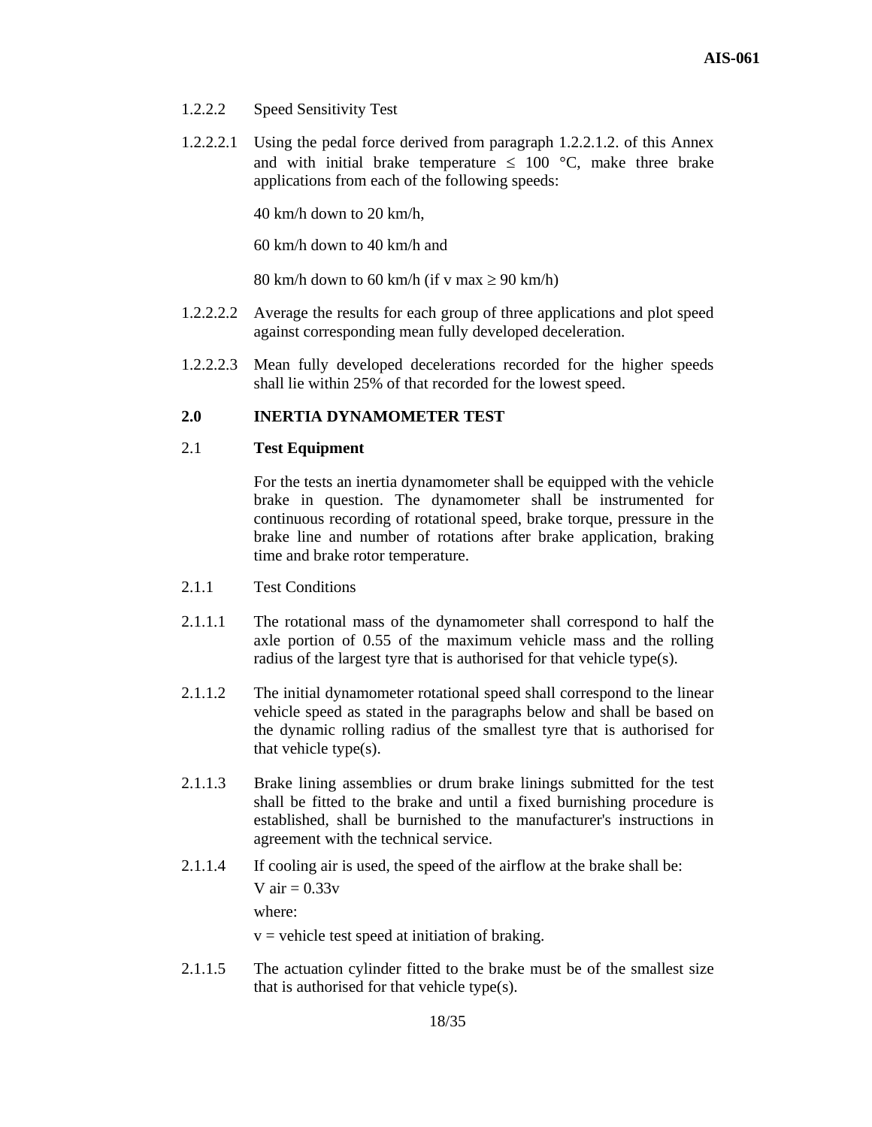- 1.2.2.2 Speed Sensitivity Test
- 1.2.2.2.1 Using the pedal force derived from paragraph 1.2.2.1.2. of this Annex and with initial brake temperature  $\leq 100$  °C, make three brake applications from each of the following speeds:

40 km/h down to 20 km/h,

60 km/h down to 40 km/h and

80 km/h down to 60 km/h (if v max  $\geq 90$  km/h)

- 1.2.2.2.2 Average the results for each group of three applications and plot speed against corresponding mean fully developed deceleration.
- 1.2.2.2.3 Mean fully developed decelerations recorded for the higher speeds shall lie within 25% of that recorded for the lowest speed.

# **2.0 INERTIA DYNAMOMETER TEST**

# 2.1 **Test Equipment**

For the tests an inertia dynamometer shall be equipped with the vehicle brake in question. The dynamometer shall be instrumented for continuous recording of rotational speed, brake torque, pressure in the brake line and number of rotations after brake application, braking time and brake rotor temperature.

- 2.1.1 Test Conditions
- 2.1.1.1 The rotational mass of the dynamometer shall correspond to half the axle portion of 0.55 of the maximum vehicle mass and the rolling radius of the largest tyre that is authorised for that vehicle type(s).
- 2.1.1.2 The initial dynamometer rotational speed shall correspond to the linear vehicle speed as stated in the paragraphs below and shall be based on the dynamic rolling radius of the smallest tyre that is authorised for that vehicle type(s).
- 2.1.1.3 Brake lining assemblies or drum brake linings submitted for the test shall be fitted to the brake and until a fixed burnishing procedure is established, shall be burnished to the manufacturer's instructions in agreement with the technical service.
- 2.1.1.4 If cooling air is used, the speed of the airflow at the brake shall be: V air  $= 0.33v$ where:

 $v =$  vehicle test speed at initiation of braking.

2.1.1.5 The actuation cylinder fitted to the brake must be of the smallest size that is authorised for that vehicle type(s).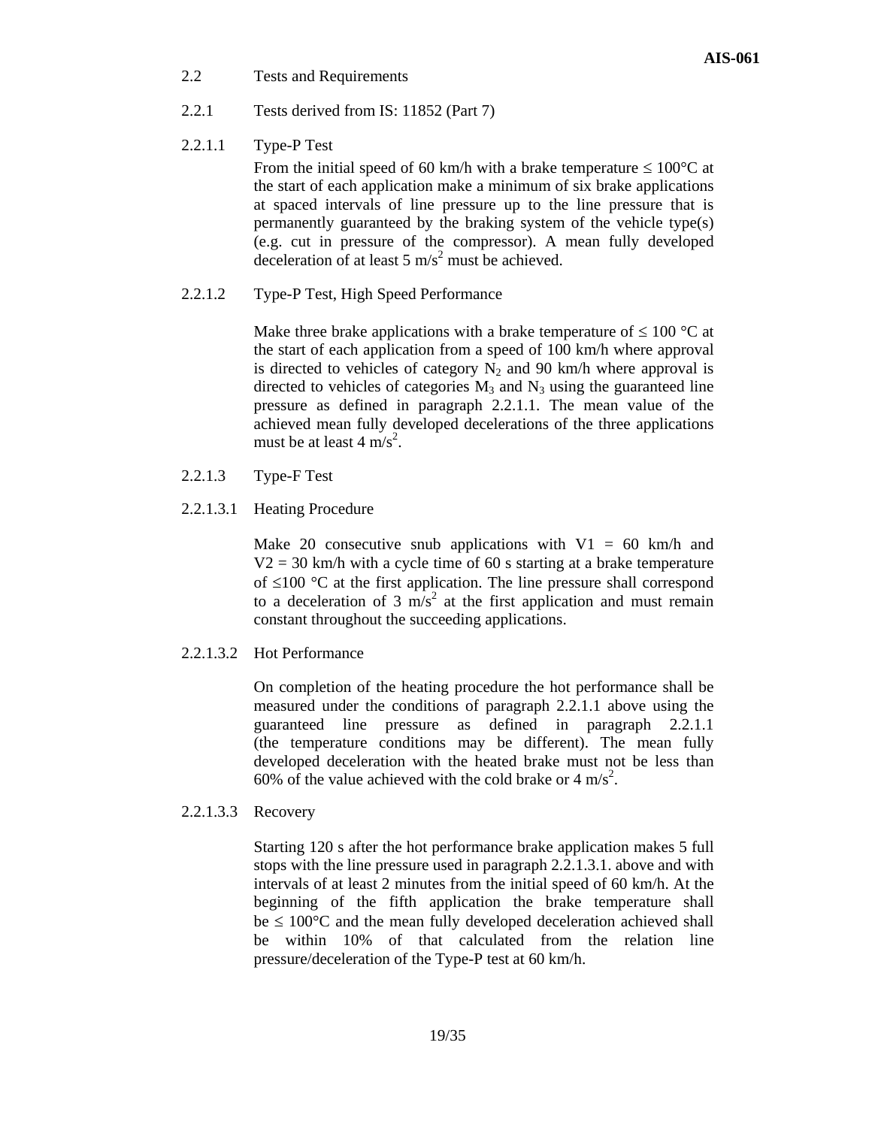2.2 Tests and Requirements

- 2.2.1 Tests derived from IS: 11852 (Part 7)
- 2.2.1.1 Type-P Test

From the initial speed of 60 km/h with a brake temperature  $\leq 100^{\circ}$ C at the start of each application make a minimum of six brake applications at spaced intervals of line pressure up to the line pressure that is permanently guaranteed by the braking system of the vehicle type(s) (e.g. cut in pressure of the compressor). A mean fully developed deceleration of at least 5  $\text{m/s}^2$  must be achieved.

2.2.1.2 Type-P Test, High Speed Performance

Make three brake applications with a brake temperature of  $\leq 100$  °C at the start of each application from a speed of 100 km/h where approval is directed to vehicles of category  $N_2$  and 90 km/h where approval is directed to vehicles of categories  $M_3$  and  $N_3$  using the guaranteed line pressure as defined in paragraph 2.2.1.1. The mean value of the achieved mean fully developed decelerations of the three applications must be at least  $4 \text{ m/s}^2$ .

- 2.2.1.3 Type-F Test
- 2.2.1.3.1 Heating Procedure

Make 20 consecutive snub applications with  $V1 = 60$  km/h and  $V2 = 30$  km/h with a cycle time of 60 s starting at a brake temperature of ≤100 °C at the first application. The line pressure shall correspond to a deceleration of 3  $\widehat{m/s^2}$  at the first application and must remain constant throughout the succeeding applications.

2.2.1.3.2 Hot Performance

On completion of the heating procedure the hot performance shall be measured under the conditions of paragraph 2.2.1.1 above using the guaranteed line pressure as defined in paragraph 2.2.1.1 (the temperature conditions may be different). The mean fully developed deceleration with the heated brake must not be less than 60% of the value achieved with the cold brake or 4 m/s<sup>2</sup>.

2.2.1.3.3 Recovery

Starting 120 s after the hot performance brake application makes 5 full stops with the line pressure used in paragraph 2.2.1.3.1. above and with intervals of at least 2 minutes from the initial speed of 60 km/h. At the beginning of the fifth application the brake temperature shall  $be \leq 100^{\circ}$ C and the mean fully developed deceleration achieved shall be within 10% of that calculated from the relation line pressure/deceleration of the Type-P test at 60 km/h.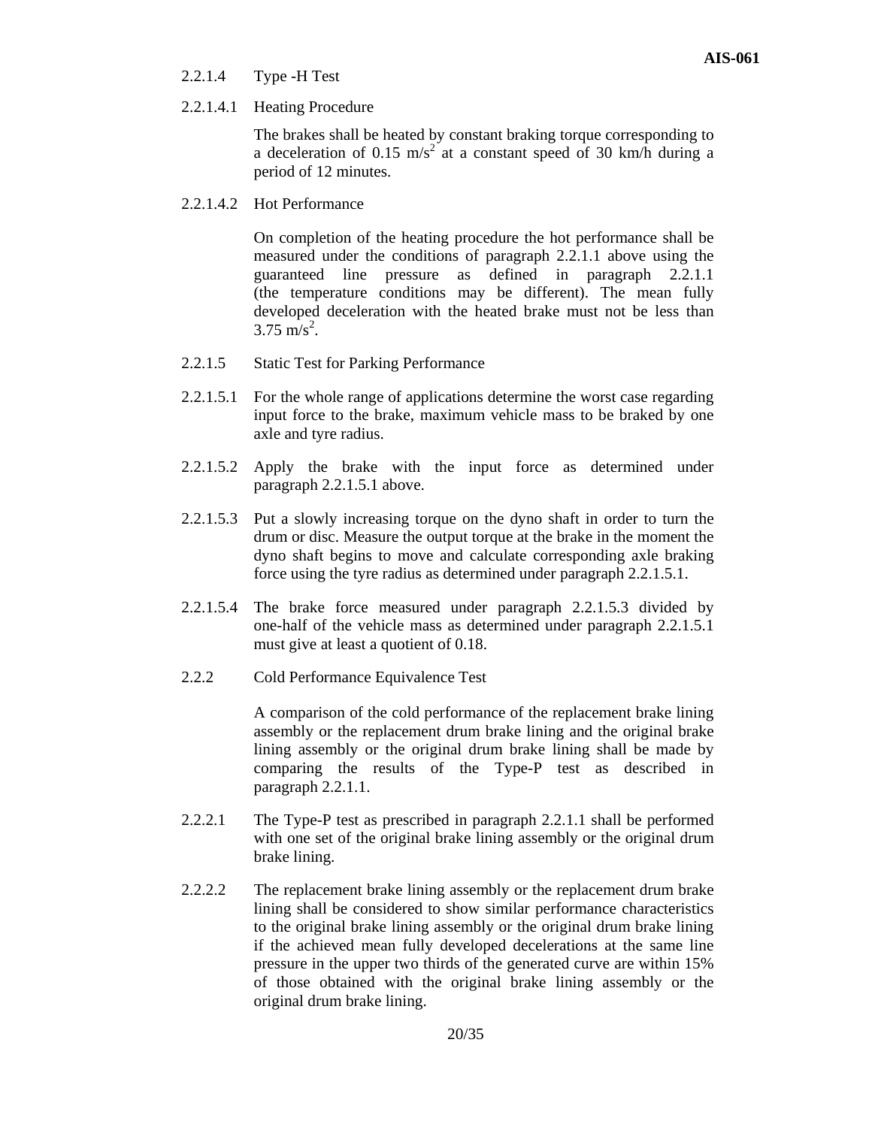#### 2.2.1.4 Type -H Test

2.2.1.4.1 Heating Procedure

The brakes shall be heated by constant braking torque corresponding to a deceleration of 0.15 m/s<sup>2</sup> at a constant speed of 30 km/h during a period of 12 minutes.

2.2.1.4.2 Hot Performance

On completion of the heating procedure the hot performance shall be measured under the conditions of paragraph 2.2.1.1 above using the guaranteed line pressure as defined in paragraph 2.2.1.1 (the temperature conditions may be different). The mean fully developed deceleration with the heated brake must not be less than  $3.75 \text{ m/s}^2$ .

- 2.2.1.5 Static Test for Parking Performance
- 2.2.1.5.1 For the whole range of applications determine the worst case regarding input force to the brake, maximum vehicle mass to be braked by one axle and tyre radius.
- 2.2.1.5.2 Apply the brake with the input force as determined under paragraph 2.2.1.5.1 above.
- 2.2.1.5.3 Put a slowly increasing torque on the dyno shaft in order to turn the drum or disc. Measure the output torque at the brake in the moment the dyno shaft begins to move and calculate corresponding axle braking force using the tyre radius as determined under paragraph 2.2.1.5.1.
- 2.2.1.5.4 The brake force measured under paragraph 2.2.1.5.3 divided by one-half of the vehicle mass as determined under paragraph 2.2.1.5.1 must give at least a quotient of 0.18.
- 2.2.2 Cold Performance Equivalence Test

A comparison of the cold performance of the replacement brake lining assembly or the replacement drum brake lining and the original brake lining assembly or the original drum brake lining shall be made by comparing the results of the Type-P test as described in paragraph 2.2.1.1.

- 2.2.2.1 The Type-P test as prescribed in paragraph 2.2.1.1 shall be performed with one set of the original brake lining assembly or the original drum brake lining.
- 2.2.2.2 The replacement brake lining assembly or the replacement drum brake lining shall be considered to show similar performance characteristics to the original brake lining assembly or the original drum brake lining if the achieved mean fully developed decelerations at the same line pressure in the upper two thirds of the generated curve are within 15% of those obtained with the original brake lining assembly or the original drum brake lining.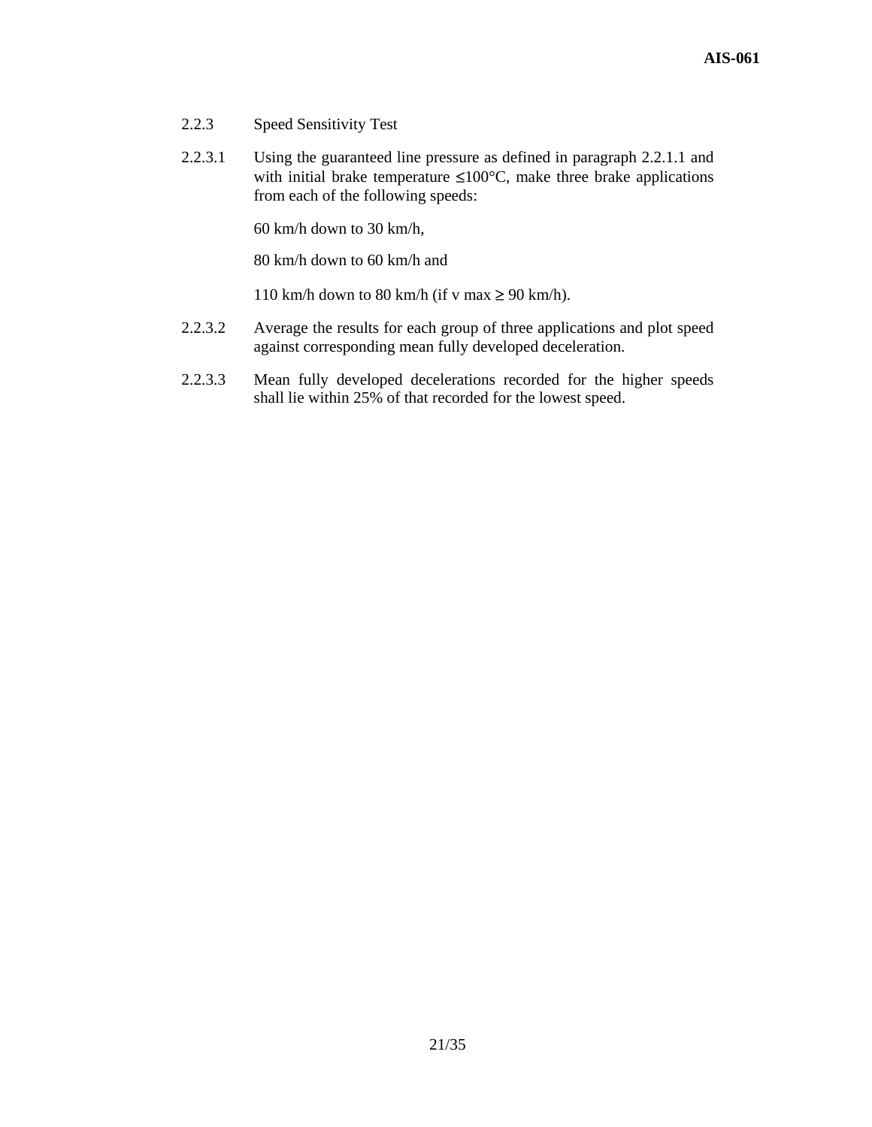- 2.2.3 Speed Sensitivity Test
- 2.2.3.1 Using the guaranteed line pressure as defined in paragraph 2.2.1.1 and with initial brake temperature  $\leq 100^{\circ}$ C, make three brake applications from each of the following speeds:

60 km/h down to 30 km/h,

80 km/h down to 60 km/h and

110 km/h down to 80 km/h (if v max  $\geq$  90 km/h).

- 2.2.3.2 Average the results for each group of three applications and plot speed against corresponding mean fully developed deceleration.
- 2.2.3.3 Mean fully developed decelerations recorded for the higher speeds shall lie within 25% of that recorded for the lowest speed.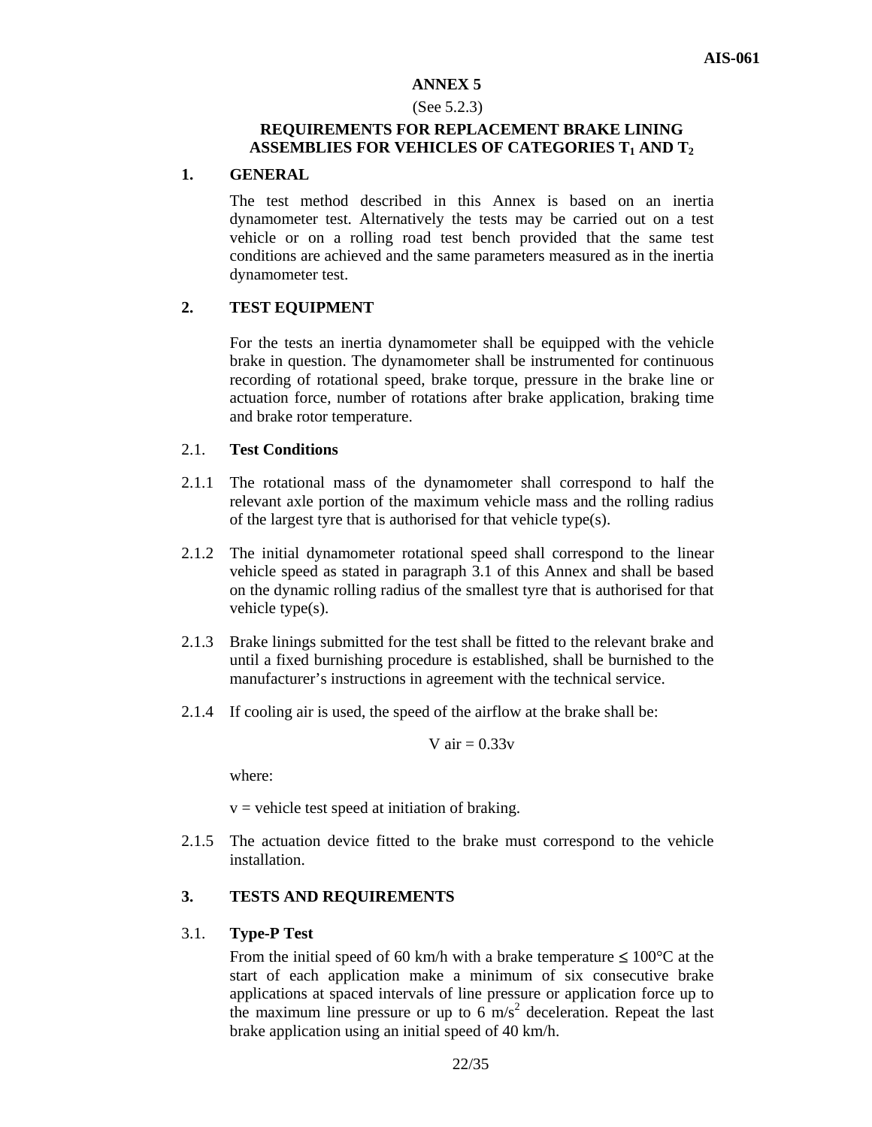#### (See 5.2.3)

# **REQUIREMENTS FOR REPLACEMENT BRAKE LINING ASSEMBLIES FOR VEHICLES OF CATEGORIES T1 AND T2**

#### **1. GENERAL**

The test method described in this Annex is based on an inertia dynamometer test. Alternatively the tests may be carried out on a test vehicle or on a rolling road test bench provided that the same test conditions are achieved and the same parameters measured as in the inertia dynamometer test.

## **2. TEST EQUIPMENT**

For the tests an inertia dynamometer shall be equipped with the vehicle brake in question. The dynamometer shall be instrumented for continuous recording of rotational speed, brake torque, pressure in the brake line or actuation force, number of rotations after brake application, braking time and brake rotor temperature.

#### 2.1. **Test Conditions**

- 2.1.1 The rotational mass of the dynamometer shall correspond to half the relevant axle portion of the maximum vehicle mass and the rolling radius of the largest tyre that is authorised for that vehicle type(s).
- 2.1.2 The initial dynamometer rotational speed shall correspond to the linear vehicle speed as stated in paragraph 3.1 of this Annex and shall be based on the dynamic rolling radius of the smallest tyre that is authorised for that vehicle type(s).
- 2.1.3 Brake linings submitted for the test shall be fitted to the relevant brake and until a fixed burnishing procedure is established, shall be burnished to the manufacturer's instructions in agreement with the technical service.
- 2.1.4 If cooling air is used, the speed of the airflow at the brake shall be:

$$
V\ air = 0.33v
$$

where:

 $v =$  vehicle test speed at initiation of braking.

2.1.5 The actuation device fitted to the brake must correspond to the vehicle installation.

# **3. TESTS AND REQUIREMENTS**

#### 3.1. **Type-P Test**

From the initial speed of 60 km/h with a brake temperature  $\leq 100^{\circ}$ C at the start of each application make a minimum of six consecutive brake applications at spaced intervals of line pressure or application force up to the maximum line pressure or up to  $6 \text{ m/s}^2$  deceleration. Repeat the last brake application using an initial speed of 40 km/h.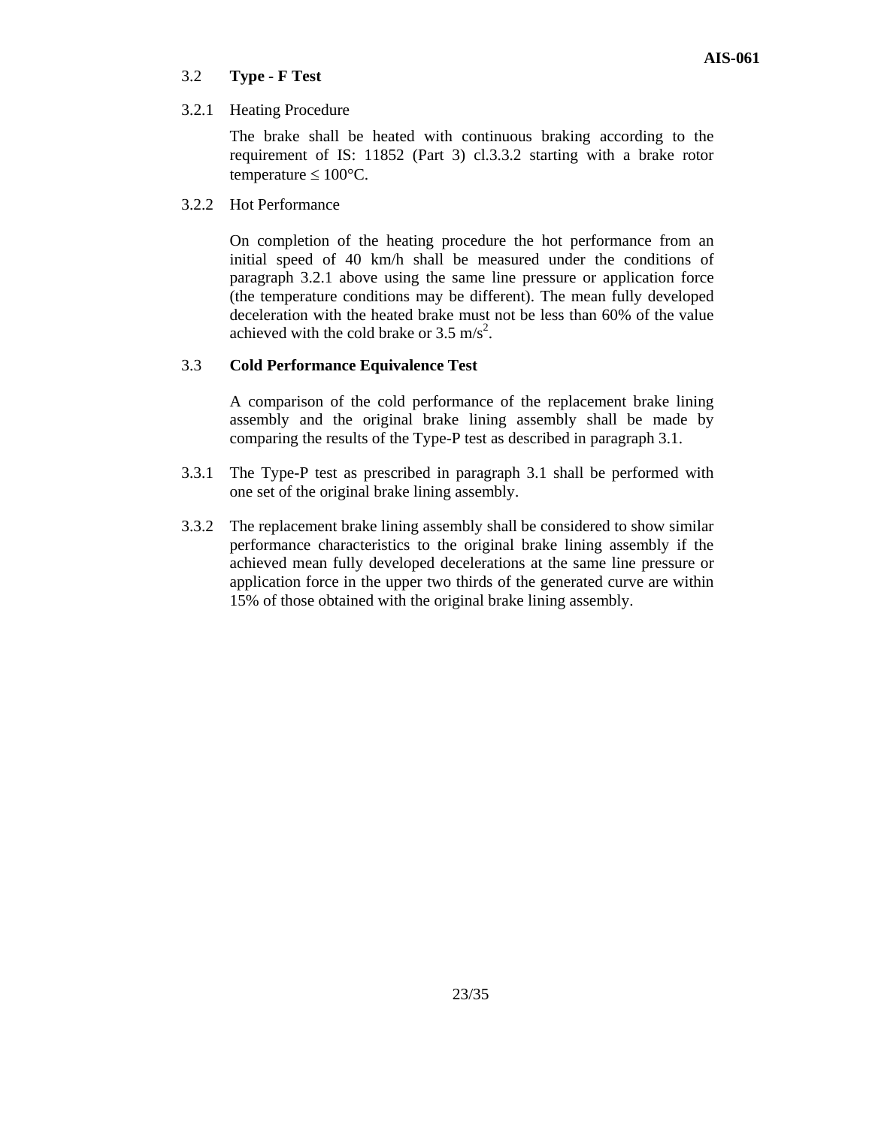# 3.2 **Type - F Test**

# 3.2.1 Heating Procedure

The brake shall be heated with continuous braking according to the requirement of IS: 11852 (Part 3) cl.3.3.2 starting with a brake rotor temperature  $\leq 100^{\circ}$ C.

3.2.2 Hot Performance

On completion of the heating procedure the hot performance from an initial speed of 40 km/h shall be measured under the conditions of paragraph 3.2.1 above using the same line pressure or application force (the temperature conditions may be different). The mean fully developed deceleration with the heated brake must not be less than 60% of the value achieved with the cold brake or  $3.5 \text{ m/s}^2$ .

# 3.3 **Cold Performance Equivalence Test**

A comparison of the cold performance of the replacement brake lining assembly and the original brake lining assembly shall be made by comparing the results of the Type-P test as described in paragraph 3.1.

- 3.3.1 The Type-P test as prescribed in paragraph 3.1 shall be performed with one set of the original brake lining assembly.
- 3.3.2 The replacement brake lining assembly shall be considered to show similar performance characteristics to the original brake lining assembly if the achieved mean fully developed decelerations at the same line pressure or application force in the upper two thirds of the generated curve are within 15% of those obtained with the original brake lining assembly.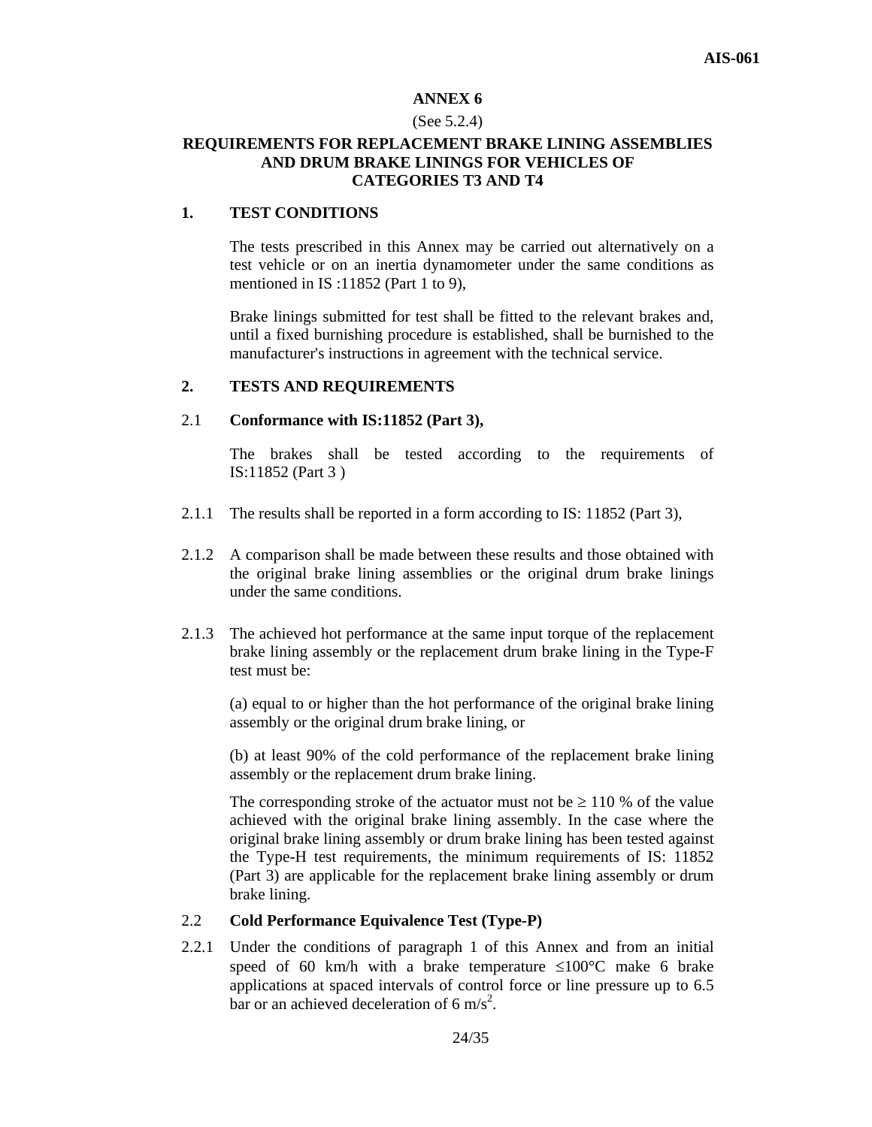#### (See 5.2.4)

# **REQUIREMENTS FOR REPLACEMENT BRAKE LINING ASSEMBLIES AND DRUM BRAKE LININGS FOR VEHICLES OF CATEGORIES T3 AND T4**

# **1. TEST CONDITIONS**

The tests prescribed in this Annex may be carried out alternatively on a test vehicle or on an inertia dynamometer under the same conditions as mentioned in IS :11852 (Part 1 to 9),

Brake linings submitted for test shall be fitted to the relevant brakes and, until a fixed burnishing procedure is established, shall be burnished to the manufacturer's instructions in agreement with the technical service.

#### **2. TESTS AND REQUIREMENTS**

### 2.1 **Conformance with IS:11852 (Part 3),**

The brakes shall be tested according to the requirements of IS:11852 (Part 3 )

- 2.1.1 The results shall be reported in a form according to IS: 11852 (Part 3),
- 2.1.2 A comparison shall be made between these results and those obtained with the original brake lining assemblies or the original drum brake linings under the same conditions.
- 2.1.3 The achieved hot performance at the same input torque of the replacement brake lining assembly or the replacement drum brake lining in the Type-F test must be:

(a) equal to or higher than the hot performance of the original brake lining assembly or the original drum brake lining, or

(b) at least 90% of the cold performance of the replacement brake lining assembly or the replacement drum brake lining.

The corresponding stroke of the actuator must not be  $\geq 110$  % of the value achieved with the original brake lining assembly. In the case where the original brake lining assembly or drum brake lining has been tested against the Type-H test requirements, the minimum requirements of IS: 11852 (Part 3) are applicable for the replacement brake lining assembly or drum brake lining.

#### 2.2 **Cold Performance Equivalence Test (Type-P)**

2.2.1 Under the conditions of paragraph 1 of this Annex and from an initial speed of 60 km/h with a brake temperature  $\leq 100^{\circ}$ C make 6 brake applications at spaced intervals of control force or line pressure up to 6.5 bar or an achieved deceleration of 6 m/s<sup>2</sup>.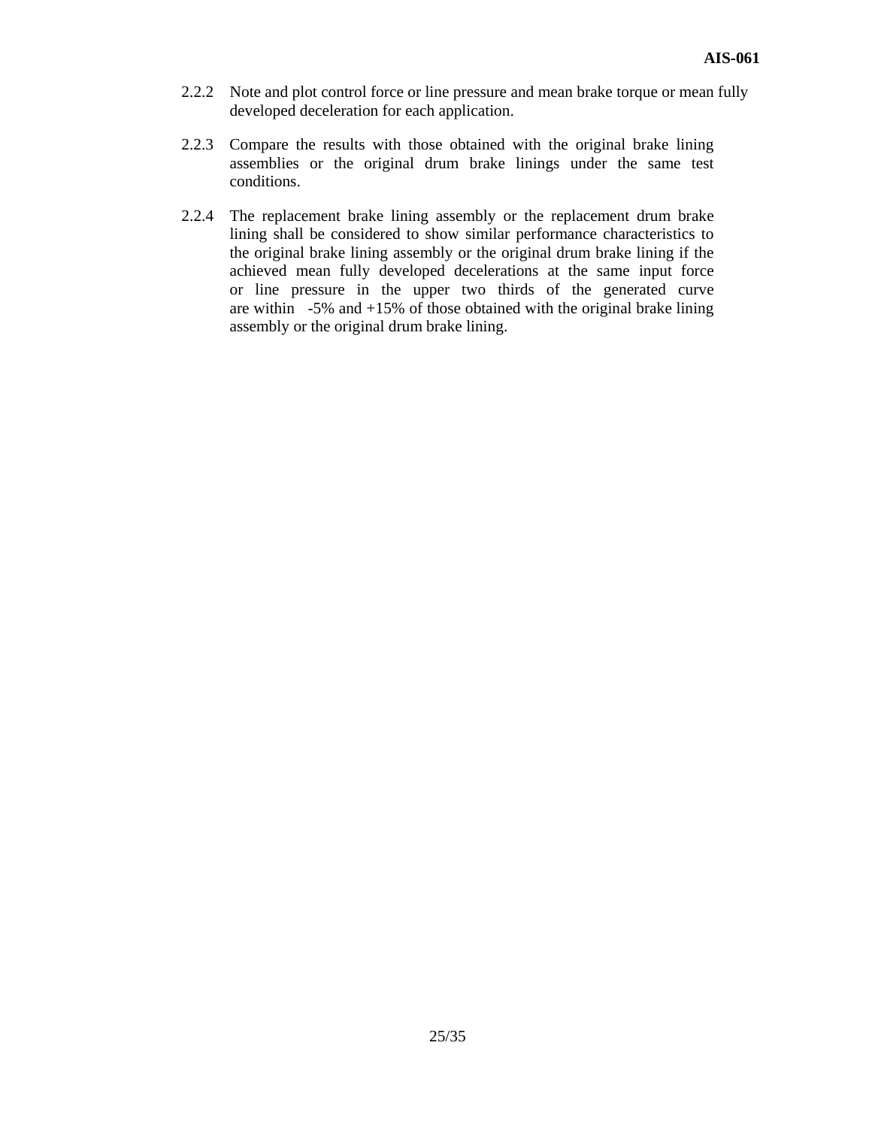- 2.2.2 Note and plot control force or line pressure and mean brake torque or mean fully developed deceleration for each application.
- 2.2.3 Compare the results with those obtained with the original brake lining assemblies or the original drum brake linings under the same test conditions.
- 2.2.4 The replacement brake lining assembly or the replacement drum brake lining shall be considered to show similar performance characteristics to the original brake lining assembly or the original drum brake lining if the achieved mean fully developed decelerations at the same input force or line pressure in the upper two thirds of the generated curve are within  $-5\%$  and  $+15\%$  of those obtained with the original brake lining assembly or the original drum brake lining.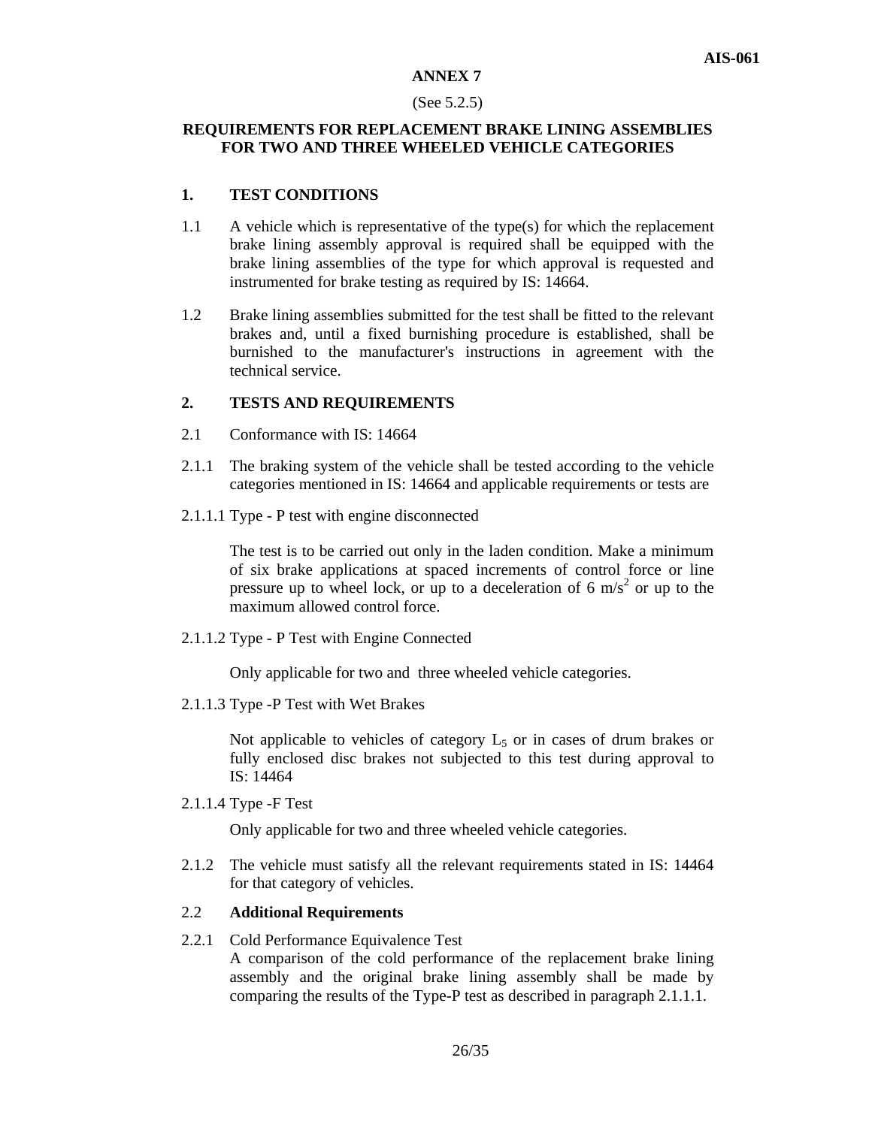#### (See 5.2.5)

# **REQUIREMENTS FOR REPLACEMENT BRAKE LINING ASSEMBLIES FOR TWO AND THREE WHEELED VEHICLE CATEGORIES**

#### **1. TEST CONDITIONS**

- 1.1 A vehicle which is representative of the type(s) for which the replacement brake lining assembly approval is required shall be equipped with the brake lining assemblies of the type for which approval is requested and instrumented for brake testing as required by IS: 14664.
- 1.2 Brake lining assemblies submitted for the test shall be fitted to the relevant brakes and, until a fixed burnishing procedure is established, shall be burnished to the manufacturer's instructions in agreement with the technical service.

#### **2. TESTS AND REQUIREMENTS**

- 2.1 Conformance with IS: 14664
- 2.1.1 The braking system of the vehicle shall be tested according to the vehicle categories mentioned in IS: 14664 and applicable requirements or tests are
- 2.1.1.1 Type P test with engine disconnected

The test is to be carried out only in the laden condition. Make a minimum of six brake applications at spaced increments of control force or line pressure up to wheel lock, or up to a deceleration of 6  $\text{m/s}^2$  or up to the maximum allowed control force.

2.1.1.2 Type - P Test with Engine Connected

Only applicable for two and three wheeled vehicle categories.

2.1.1.3 Type -P Test with Wet Brakes

Not applicable to vehicles of category  $L_5$  or in cases of drum brakes or fully enclosed disc brakes not subjected to this test during approval to IS: 14464

2.1.1.4 Type -F Test

Only applicable for two and three wheeled vehicle categories.

2.1.2 The vehicle must satisfy all the relevant requirements stated in IS: 14464 for that category of vehicles.

#### 2.2 **Additional Requirements**

2.2.1 Cold Performance Equivalence Test A comparison of the cold performance of the replacement brake lining assembly and the original brake lining assembly shall be made by comparing the results of the Type-P test as described in paragraph 2.1.1.1.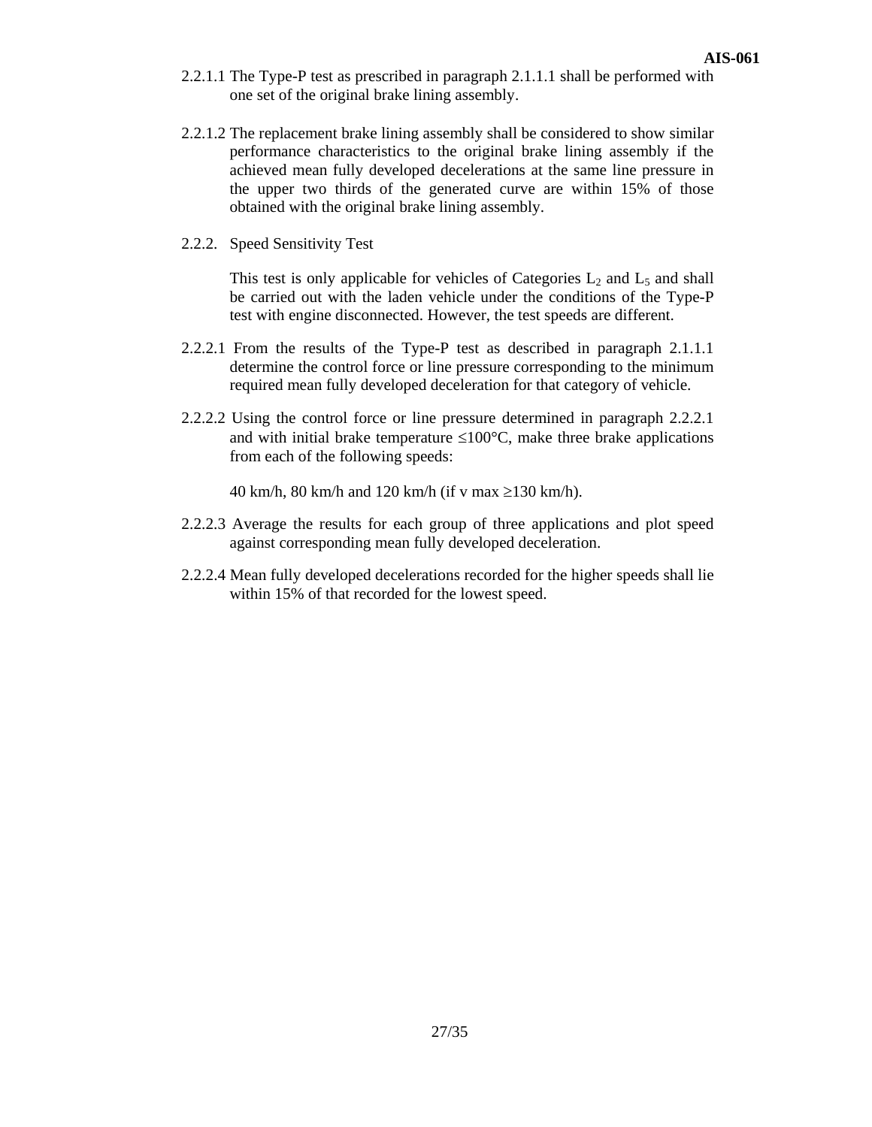- 2.2.1.1 The Type-P test as prescribed in paragraph 2.1.1.1 shall be performed with one set of the original brake lining assembly.
- 2.2.1.2 The replacement brake lining assembly shall be considered to show similar performance characteristics to the original brake lining assembly if the achieved mean fully developed decelerations at the same line pressure in the upper two thirds of the generated curve are within 15% of those obtained with the original brake lining assembly.
- 2.2.2. Speed Sensitivity Test

This test is only applicable for vehicles of Categories  $L_2$  and  $L_5$  and shall be carried out with the laden vehicle under the conditions of the Type-P test with engine disconnected. However, the test speeds are different.

- 2.2.2.1 From the results of the Type-P test as described in paragraph 2.1.1.1 determine the control force or line pressure corresponding to the minimum required mean fully developed deceleration for that category of vehicle.
- 2.2.2.2 Using the control force or line pressure determined in paragraph 2.2.2.1 and with initial brake temperature  $\leq 100^{\circ}$ C, make three brake applications from each of the following speeds:

40 km/h, 80 km/h and 120 km/h (if v max ≥130 km/h).

- 2.2.2.3 Average the results for each group of three applications and plot speed against corresponding mean fully developed deceleration.
- 2.2.2.4 Mean fully developed decelerations recorded for the higher speeds shall lie within 15% of that recorded for the lowest speed.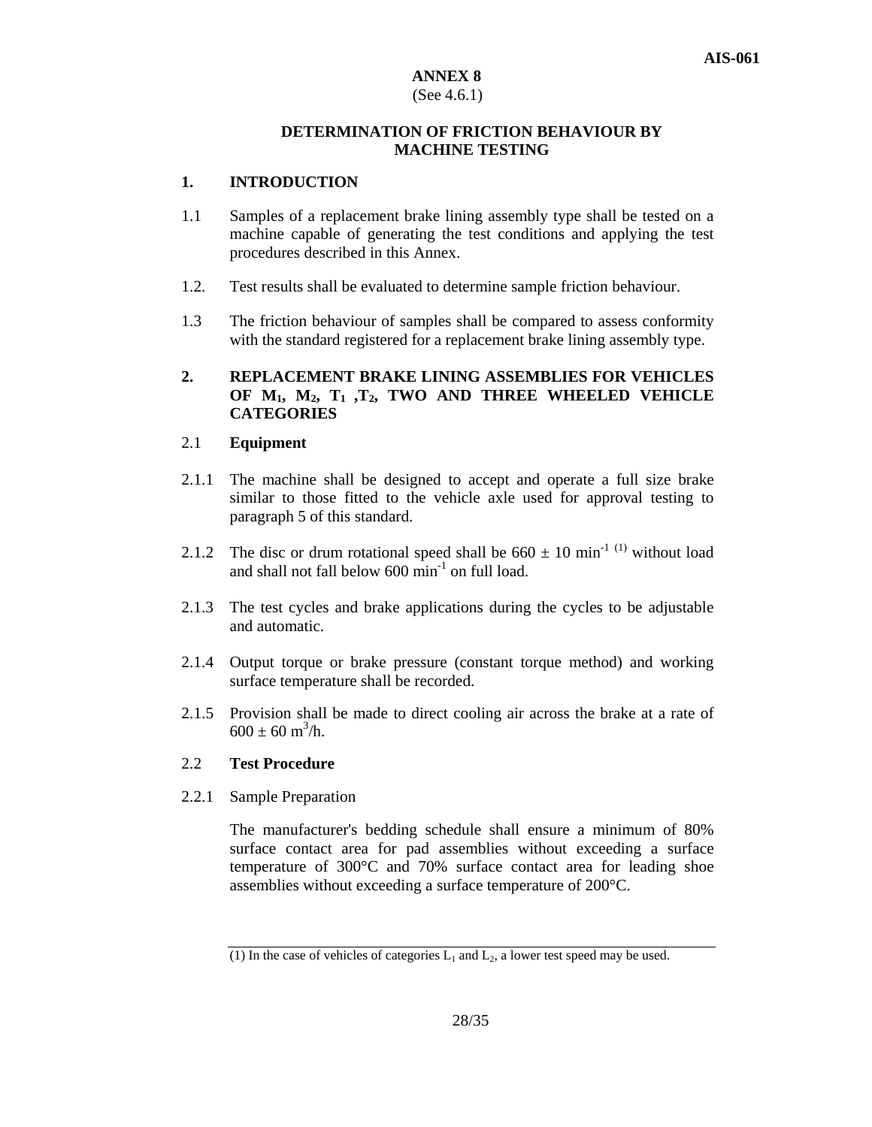# (See 4.6.1)

# **DETERMINATION OF FRICTION BEHAVIOUR BY MACHINE TESTING**

# **1. INTRODUCTION**

- 1.1 Samples of a replacement brake lining assembly type shall be tested on a machine capable of generating the test conditions and applying the test procedures described in this Annex.
- 1.2. Test results shall be evaluated to determine sample friction behaviour.
- 1.3 The friction behaviour of samples shall be compared to assess conformity with the standard registered for a replacement brake lining assembly type.

# **2. REPLACEMENT BRAKE LINING ASSEMBLIES FOR VEHICLES OF M1, M2, T1 ,T2, TWO AND THREE WHEELED VEHICLE CATEGORIES**

# 2.1 **Equipment**

- 2.1.1 The machine shall be designed to accept and operate a full size brake similar to those fitted to the vehicle axle used for approval testing to paragraph 5 of this standard.
- 2.1.2 The disc or drum rotational speed shall be  $660 \pm 10 \text{ min}^{-1}$  (1) without load and shall not fall below  $600 \text{ min}^{-1}$  on full load.
- 2.1.3 The test cycles and brake applications during the cycles to be adjustable and automatic.
- 2.1.4 Output torque or brake pressure (constant torque method) and working surface temperature shall be recorded.
- 2.1.5 Provision shall be made to direct cooling air across the brake at a rate of  $600 \pm 60$  m<sup>3</sup>/h.

# 2.2 **Test Procedure**

2.2.1 Sample Preparation

The manufacturer's bedding schedule shall ensure a minimum of 80% surface contact area for pad assemblies without exceeding a surface temperature of 300°C and 70% surface contact area for leading shoe assemblies without exceeding a surface temperature of 200°C.

<sup>(1)</sup> In the case of vehicles of categories  $L_1$  and  $L_2$ , a lower test speed may be used.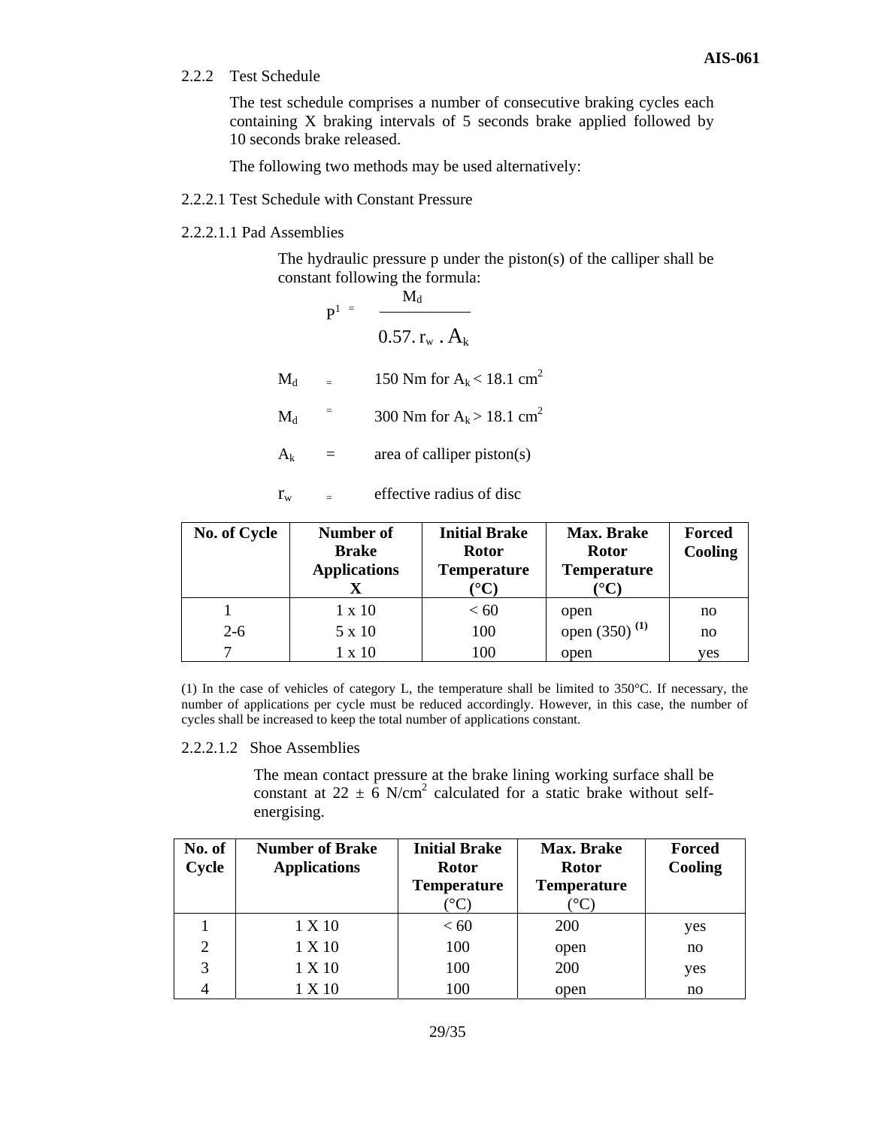2.2.2 Test Schedule

The test schedule comprises a number of consecutive braking cycles each containing X braking intervals of 5 seconds brake applied followed by 10 seconds brake released.

The following two methods may be used alternatively:

- 2.2.2.1 Test Schedule with Constant Pressure
- 2.2.2.1.1 Pad Assemblies

The hydraulic pressure p under the piston(s) of the calliper shall be constant following the formula:

 $M_d$  $\mathbf{p}^{1}$  =  $0.57. r_{w}$ .  $A_{k}$  $M_d$  = 150 Nm for A<sub>k</sub> < 18.1 cm<sup>2</sup>  $M_d$ 300 Nm for  $A_k > 18.1$  cm<sup>2</sup>  $A_k$  = area of calliper piston(s)

 $r_w$  = effective radius of disc

| <b>No. of Cycle</b> | Number of<br><b>Brake</b><br><b>Applications</b> | <b>Initial Brake</b><br><b>Rotor</b><br><b>Temperature</b><br>${}^{\circ}\mathbf{C}$ | Max. Brake<br>Rotor<br><b>Temperature</b><br>$^\circ{\rm C}$ | <b>Forced</b><br>Cooling |
|---------------------|--------------------------------------------------|--------------------------------------------------------------------------------------|--------------------------------------------------------------|--------------------------|
|                     | $1 \times 10$                                    | < 60                                                                                 | open                                                         | no                       |
| $2 - 6$             | 5 x 10                                           | 100                                                                                  | open $(350)^{(1)}$                                           | no                       |
|                     | $1 \times 10$                                    | 100                                                                                  | open                                                         | yes                      |

(1) In the case of vehicles of category L, the temperature shall be limited to 350°C. If necessary, the number of applications per cycle must be reduced accordingly. However, in this case, the number of cycles shall be increased to keep the total number of applications constant.

2.2.2.1.2 Shoe Assemblies

The mean contact pressure at the brake lining working surface shall be constant at  $22 \pm 6$  N/cm<sup>2</sup> calculated for a static brake without selfenergising.

| No. of | <b>Number of Brake</b> | <b>Initial Brake</b> | <b>Max. Brake</b>  | <b>Forced</b> |
|--------|------------------------|----------------------|--------------------|---------------|
| Cycle  | <b>Applications</b>    | <b>Rotor</b>         | <b>Rotor</b>       | Cooling       |
|        |                        | <b>Temperature</b>   | <b>Temperature</b> |               |
|        |                        |                      |                    |               |
|        | 1 X 10                 | <60                  | <b>200</b>         | yes           |
| 2      | 1 X 10                 | 100                  | open               | no            |
| 3      | 1 X 10                 | 100                  | 200                | yes           |
|        | 1 X 10                 | 100                  | open               | no            |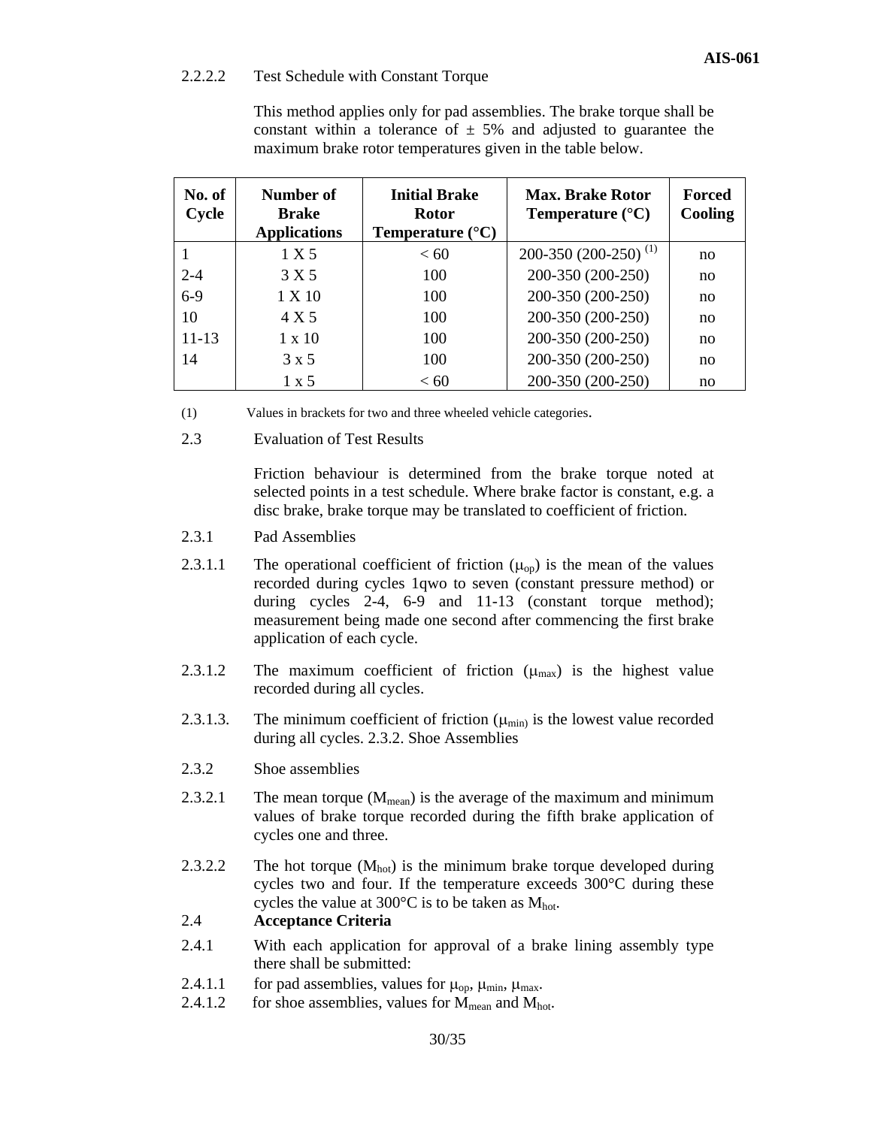#### 2.2.2.2 Test Schedule with Constant Torque

| This method applies only for pad assemblies. The brake torque shall be |  |  |
|------------------------------------------------------------------------|--|--|
| constant within a tolerance of $\pm$ 5% and adjusted to guarantee the  |  |  |
| maximum brake rotor temperatures given in the table below.             |  |  |

| No. of<br>Cycle | Number of<br><b>Brake</b><br><b>Applications</b> | <b>Initial Brake</b><br><b>Rotor</b><br>Temperature $(^{\circ}C)$ | <b>Max. Brake Rotor</b><br>Temperature $(^{\circ}C)$ | Forced<br>Cooling |
|-----------------|--------------------------------------------------|-------------------------------------------------------------------|------------------------------------------------------|-------------------|
|                 | 1 X 5                                            | < 60                                                              | 200-350 (200-250) <sup>(1)</sup>                     | no                |
| $2 - 4$         | 3 X 5                                            | 100                                                               | 200-350 (200-250)                                    | no                |
| $6 - 9$         | 1 X 10                                           | 100                                                               | 200-350 (200-250)                                    | no                |
| 10              | 4 X 5                                            | 100                                                               | 200-350 (200-250)                                    | no                |
| $11 - 13$       | $1 \times 10$                                    | 100                                                               | 200-350 (200-250)                                    | no                |
| 14              | $3 \times 5$                                     | 100                                                               | 200-350 (200-250)                                    | no                |
|                 | $1 \times 5$                                     | < 60                                                              | 200-350 (200-250)                                    | no                |

(1) Values in brackets for two and three wheeled vehicle categories.

2.3 Evaluation of Test Results

Friction behaviour is determined from the brake torque noted at selected points in a test schedule. Where brake factor is constant, e.g. a disc brake, brake torque may be translated to coefficient of friction.

- 2.3.1 Pad Assemblies
- 2.3.1.1 The operational coefficient of friction  $(\mu_{op})$  is the mean of the values recorded during cycles 1qwo to seven (constant pressure method) or during cycles 2-4, 6-9 and 11-13 (constant torque method); measurement being made one second after commencing the first brake application of each cycle.
- 2.3.1.2 The maximum coefficient of friction  $(\mu_{max})$  is the highest value recorded during all cycles.
- 2.3.1.3. The minimum coefficient of friction  $(\mu_{min})$  is the lowest value recorded during all cycles. 2.3.2. Shoe Assemblies
- 2.3.2 Shoe assemblies
- 2.3.2.1 The mean torque  $(M_{mean})$  is the average of the maximum and minimum values of brake torque recorded during the fifth brake application of cycles one and three.
- 2.3.2.2 The hot torque  $(M<sub>hot</sub>)$  is the minimum brake torque developed during cycles two and four. If the temperature exceeds 300°C during these cycles the value at  $300^{\circ}$ C is to be taken as  $M_{hot}$ .

#### 2.4 **Acceptance Criteria**

- 2.4.1 With each application for approval of a brake lining assembly type there shall be submitted:
- 2.4.1.1 for pad assemblies, values for  $\mu_{\text{op}}$ ,  $\mu_{\text{min}}$ ,  $\mu_{\text{max}}$ .
- 2.4.1.2 for shoe assemblies, values for  $\dot{M}_{mean}$  and  $M_{hot}$ .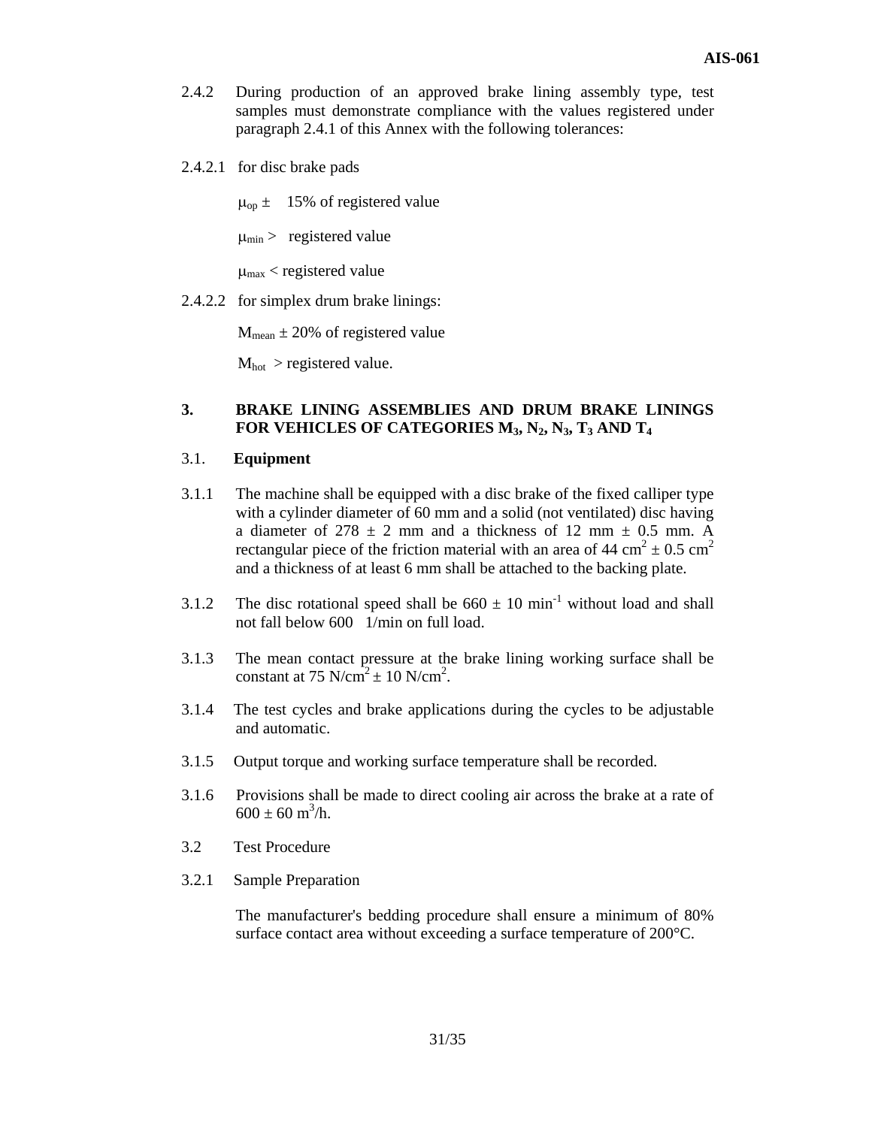- 2.4.2 During production of an approved brake lining assembly type, test samples must demonstrate compliance with the values registered under paragraph 2.4.1 of this Annex with the following tolerances:
- 2.4.2.1 for disc brake pads

 $\mu_{\text{op}} = 15\%$  of registered value

 $\mu_{\text{min}}$  > registered value

 $\mu_{\text{max}}$  < registered value

2.4.2.2 for simplex drum brake linings:

 $M_{\text{mean}} \pm 20\%$  of registered value

 $M_{hot} >$  registered value.

#### **3. BRAKE LINING ASSEMBLIES AND DRUM BRAKE LININGS**  FOR VEHICLES OF CATEGORIES M<sub>3</sub>, N<sub>2</sub>, N<sub>3</sub>, T<sub>3</sub> AND T<sub>4</sub>

# 3.1. **Equipment**

- 3.1.1 The machine shall be equipped with a disc brake of the fixed calliper type with a cylinder diameter of 60 mm and a solid (not ventilated) disc having a diameter of  $278 \pm 2$  mm and a thickness of 12 mm  $\pm$  0.5 mm. A rectangular piece of the friction material with an area of 44 cm<sup>2</sup>  $\pm$  0.5 cm<sup>2</sup> and a thickness of at least 6 mm shall be attached to the backing plate.
- 3.1.2 The disc rotational speed shall be  $660 \pm 10 \text{ min}^{-1}$  without load and shall not fall below 600 1/min on full load.
- 3.1.3 The mean contact pressure at the brake lining working surface shall be constant at 75 N/cm<sup>2</sup>  $\pm$  10 N/cm<sup>2</sup>.
- 3.1.4 The test cycles and brake applications during the cycles to be adjustable and automatic.
- 3.1.5 Output torque and working surface temperature shall be recorded.
- 3.1.6 Provisions shall be made to direct cooling air across the brake at a rate of  $600 \pm 60$  m<sup>3</sup>/h.
- 3.2 Test Procedure
- 3.2.1 Sample Preparation

The manufacturer's bedding procedure shall ensure a minimum of 80% surface contact area without exceeding a surface temperature of 200°C.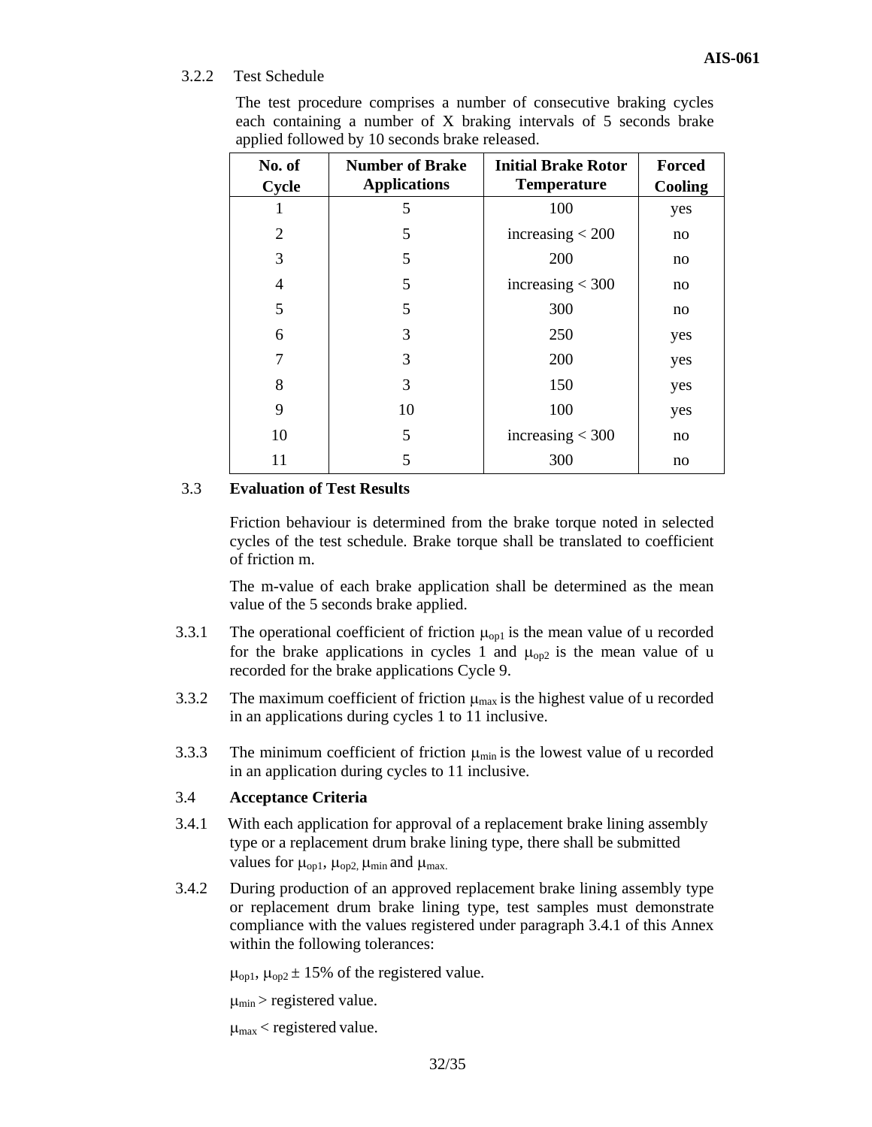# 3.2.2 Test Schedule

| $\mathbf{w}_{\mathsf{P}}$ pare $\mathbf{w}$ can be defined by<br>to becomes orano refeased. |                                               |                                                  |                          |  |  |
|---------------------------------------------------------------------------------------------|-----------------------------------------------|--------------------------------------------------|--------------------------|--|--|
| No. of<br>Cycle                                                                             | <b>Number of Brake</b><br><b>Applications</b> | <b>Initial Brake Rotor</b><br><b>Temperature</b> | <b>Forced</b><br>Cooling |  |  |
|                                                                                             | 5                                             | 100                                              | yes                      |  |  |
| 2                                                                                           | 5                                             | increasing $<$ 200                               | no                       |  |  |
| 3                                                                                           | 5                                             | 200                                              | no                       |  |  |
| 4                                                                                           | 5                                             | increasing $<$ 300                               | no                       |  |  |
| 5                                                                                           | 5                                             | 300                                              | no                       |  |  |
| 6                                                                                           | 3                                             | 250                                              | yes                      |  |  |
| 7                                                                                           | 3                                             | 200                                              | yes                      |  |  |
| 8                                                                                           | 3                                             | 150                                              | yes                      |  |  |
| 9                                                                                           | 10                                            | 100                                              | yes                      |  |  |
| 10                                                                                          | 5                                             | increasing $<$ 300                               | no                       |  |  |
| 11                                                                                          | 5                                             | 300                                              | no                       |  |  |

The test procedure comprises a number of consecutive braking cycles each containing a number of X braking intervals of 5 seconds brake applied followed by 10 seconds brake released.

# 3.3 **Evaluation of Test Results**

Friction behaviour is determined from the brake torque noted in selected cycles of the test schedule. Brake torque shall be translated to coefficient of friction m.

The m-value of each brake application shall be determined as the mean value of the 5 seconds brake applied.

- 3.3.1 The operational coefficient of friction  $\mu_{\text{on}}$  is the mean value of u recorded for the brake applications in cycles 1 and  $\mu_{op2}$  is the mean value of u recorded for the brake applications Cycle 9.
- 3.3.2 The maximum coefficient of friction  $\mu_{\text{max}}$  is the highest value of u recorded in an applications during cycles 1 to 11 inclusive.
- 3.3.3 The minimum coefficient of friction  $\mu_{min}$  is the lowest value of u recorded in an application during cycles to 11 inclusive.

# 3.4 **Acceptance Criteria**

- 3.4.1 With each application for approval of a replacement brake lining assembly type or a replacement drum brake lining type, there shall be submitted values for  $\mu_{\text{op1}}$ ,  $\mu_{\text{op2}}$ ,  $\mu_{\text{min}}$  and  $\mu_{\text{max}}$ .
- 3.4.2 During production of an approved replacement brake lining assembly type or replacement drum brake lining type, test samples must demonstrate compliance with the values registered under paragraph 3.4.1 of this Annex within the following tolerances:

 $\mu_{\text{op1}}$ ,  $\mu_{\text{op2}} \pm 15\%$  of the registered value.

 $\mu_{min}$  > registered value.

 $\mu_{\text{max}}$  < registered value.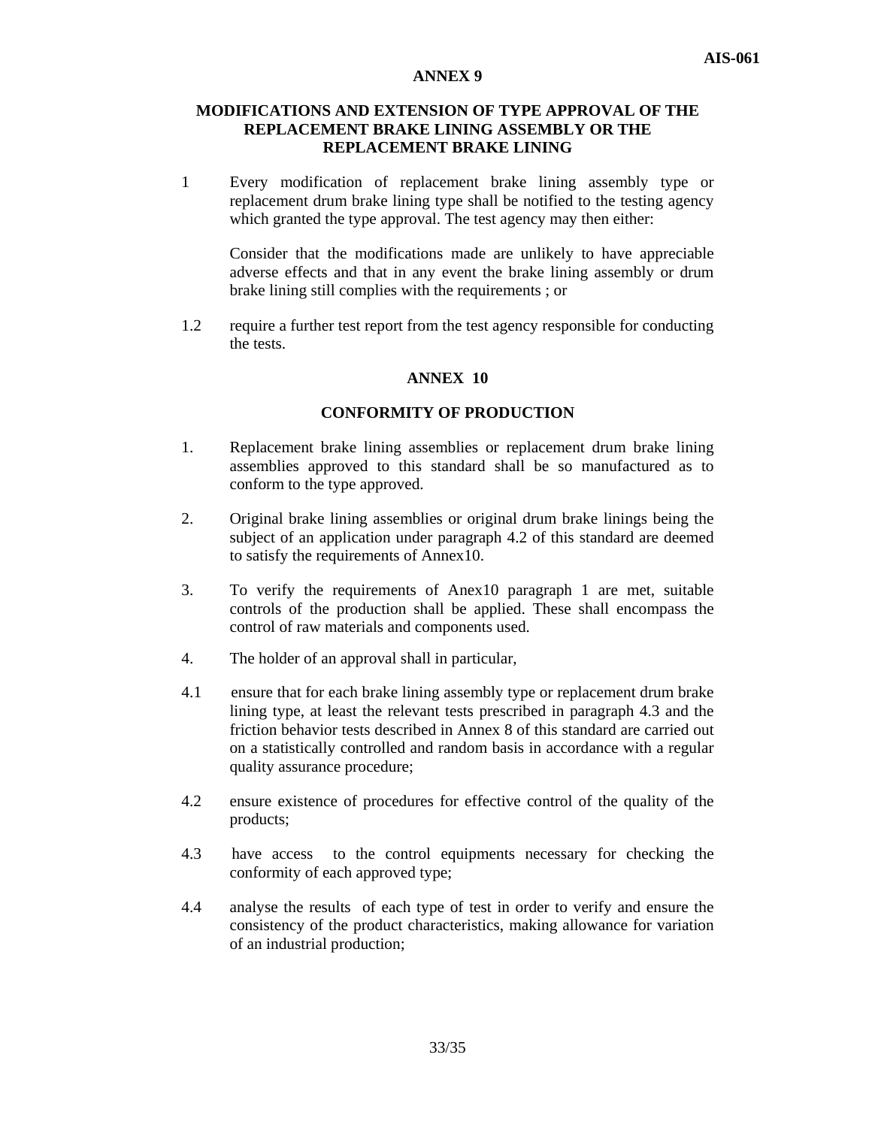## **MODIFICATIONS AND EXTENSION OF TYPE APPROVAL OF THE REPLACEMENT BRAKE LINING ASSEMBLY OR THE REPLACEMENT BRAKE LINING**

1 Every modification of replacement brake lining assembly type or replacement drum brake lining type shall be notified to the testing agency which granted the type approval. The test agency may then either:

Consider that the modifications made are unlikely to have appreciable adverse effects and that in any event the brake lining assembly or drum brake lining still complies with the requirements ; or

1.2 require a further test report from the test agency responsible for conducting the tests.

#### **ANNEX 10**

#### **CONFORMITY OF PRODUCTION**

- 1. Replacement brake lining assemblies or replacement drum brake lining assemblies approved to this standard shall be so manufactured as to conform to the type approved.
- 2. Original brake lining assemblies or original drum brake linings being the subject of an application under paragraph 4.2 of this standard are deemed to satisfy the requirements of Annex10.
- 3. To verify the requirements of Anex10 paragraph 1 are met, suitable controls of the production shall be applied. These shall encompass the control of raw materials and components used.
- 4. The holder of an approval shall in particular,
- 4.1 ensure that for each brake lining assembly type or replacement drum brake lining type, at least the relevant tests prescribed in paragraph 4.3 and the friction behavior tests described in Annex 8 of this standard are carried out on a statistically controlled and random basis in accordance with a regular quality assurance procedure;
- 4.2 ensure existence of procedures for effective control of the quality of the products;
- 4.3 have access to the control equipments necessary for checking the conformity of each approved type;
- 4.4 analyse the results of each type of test in order to verify and ensure the consistency of the product characteristics, making allowance for variation of an industrial production;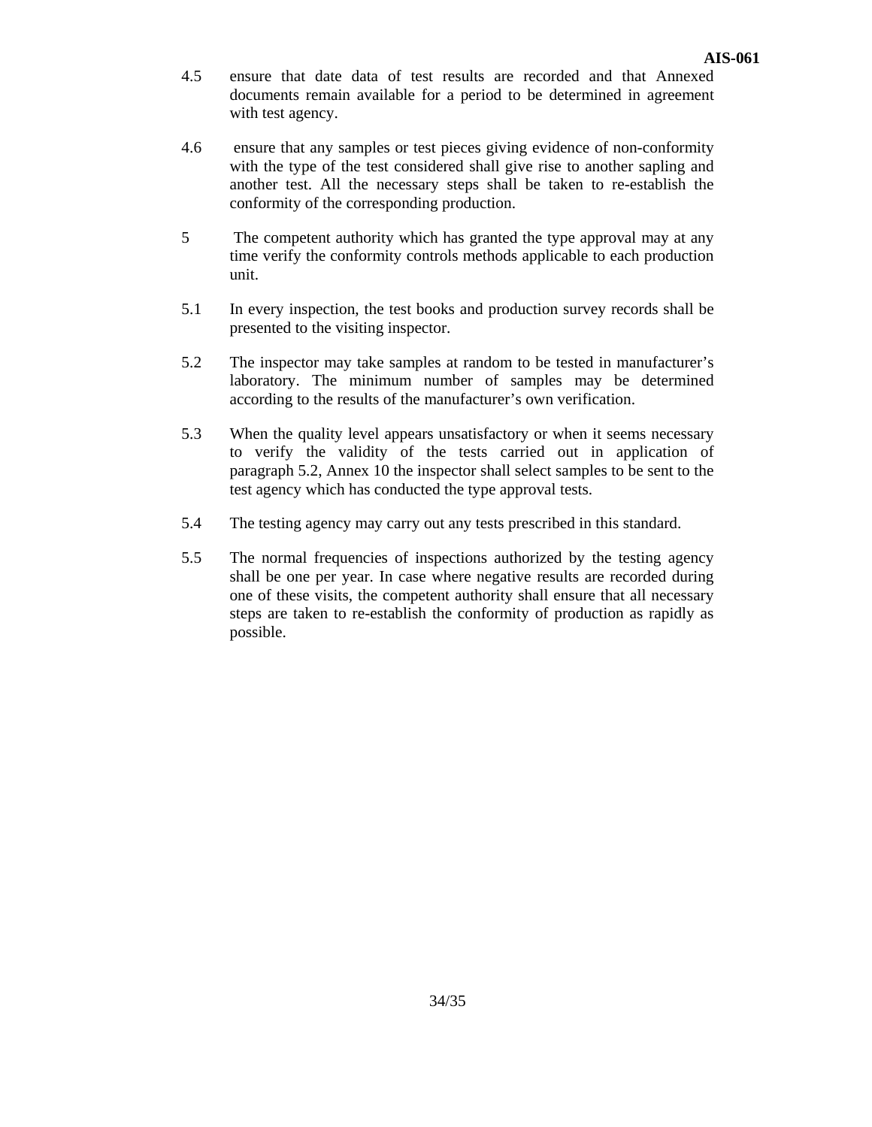- 4.5 ensure that date data of test results are recorded and that Annexed documents remain available for a period to be determined in agreement with test agency.
- 4.6 ensure that any samples or test pieces giving evidence of non-conformity with the type of the test considered shall give rise to another sapling and another test. All the necessary steps shall be taken to re-establish the conformity of the corresponding production.
- 5 The competent authority which has granted the type approval may at any time verify the conformity controls methods applicable to each production unit.
- 5.1 In every inspection, the test books and production survey records shall be presented to the visiting inspector.
- 5.2 The inspector may take samples at random to be tested in manufacturer's laboratory. The minimum number of samples may be determined according to the results of the manufacturer's own verification.
- 5.3 When the quality level appears unsatisfactory or when it seems necessary to verify the validity of the tests carried out in application of paragraph 5.2, Annex 10 the inspector shall select samples to be sent to the test agency which has conducted the type approval tests.
- 5.4 The testing agency may carry out any tests prescribed in this standard.
- 5.5 The normal frequencies of inspections authorized by the testing agency shall be one per year. In case where negative results are recorded during one of these visits, the competent authority shall ensure that all necessary steps are taken to re-establish the conformity of production as rapidly as possible.